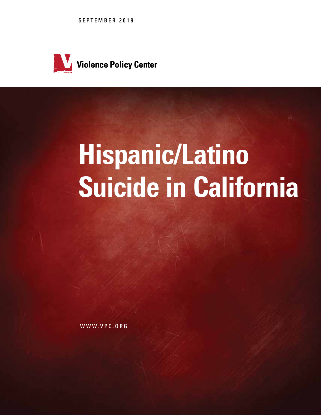SEPTEMBER 2019



# Hispanic/Latino Suicide in California

WWW.VPC.ORG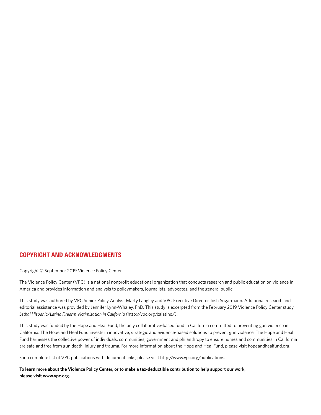#### COPYRIGHT AND ACKNOWLEDGMENTS

Copyright © September 2019 Violence Policy Center

The Violence Policy Center (VPC) is a national nonprofit educational organization that conducts research and public education on violence in America and provides information and analysis to policymakers, journalists, advocates, and the general public.

This study was authored by VPC Senior Policy Analyst Marty Langley and VPC Executive Director Josh Sugarmann. Additional research and editorial assistance was provided by Jennifer Lynn-Whaley, PhD. This study is excerpted from the February 2019 Violence Policy Center study *Lethal Hispanic/Latino Firearm Victimization in California* (http://vpc.org/calatino/).

This study was funded by the Hope and Heal Fund, the only collaborative-based fund in California committed to preventing gun violence in California. The Hope and Heal Fund invests in innovative, strategic and evidence-based solutions to prevent gun violence. The Hope and Heal Fund harnesses the collective power of individuals, communities, government and philanthropy to ensure homes and communities in California are safe and free from gun death, injury and trauma. For more information about the Hope and Heal Fund, please visit hopeandhealfund.org.

For a complete list of VPC publications with document links, please visit http://www.vpc.org/publications.

**To learn more about the Violence Policy Center, or to make a tax-deductible contribution to help support our work, please visit www.vpc.org.**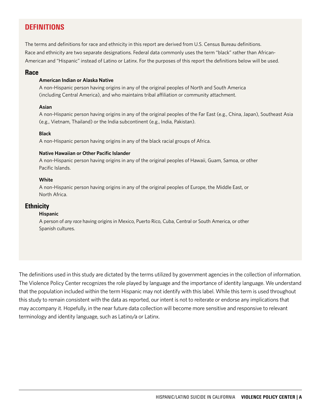# **DEFINITIONS**

The terms and definitions for race and ethnicity in this report are derived from U.S. Census Bureau definitions. Race and ethnicity are two separate designations. Federal data commonly uses the term "black" rather than African-American and "Hispanic" instead of Latino or Latinx. For the purposes of this report the definitions below will be used.

#### **Race**

#### **American Indian or Alaska Native**

A non-Hispanic person having origins in any of the original peoples of North and South America (including Central America), and who maintains tribal affiliation or community attachment.

#### **Asian**

A non-Hispanic person having origins in any of the original peoples of the Far East (e.g., China, Japan), Southeast Asia (e.g., Vietnam, Thailand) or the India subcontinent (e.g., India, Pakistan).

#### **Black**

A non-Hispanic person having origins in any of the black racial groups of Africa.

#### **Native Hawaiian or Other Pacific Islander**

A non-Hispanic person having origins in any of the original peoples of Hawaii, Guam, Samoa, or other Pacific Islands.

#### **White**

A non-Hispanic person having origins in any of the original peoples of Europe, the Middle East, or North Africa.

#### **Ethnicity**

#### **Hispanic**

A person of *any race* having origins in Mexico, Puerto Rico, Cuba, Central or South America, or other Spanish cultures.

The definitions used in this study are dictated by the terms utilized by government agencies in the collection of information. The Violence Policy Center recognizes the role played by language and the importance of identity language. We understand that the population included within the term Hispanic may not identify with this label. While this term is used throughout this study to remain consistent with the data as reported, our intent is not to reiterate or endorse any implications that may accompany it. Hopefully, in the near future data collection will become more sensitive and responsive to relevant terminology and identity language, such as Latino/a or Latinx.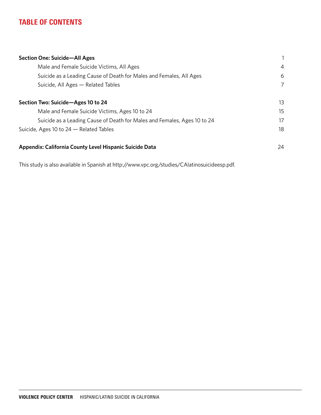# TABLE OF CONTENTS

| <b>Section One: Suicide-All Ages</b>                                     |                |
|--------------------------------------------------------------------------|----------------|
| Male and Female Suicide Victims, All Ages                                | $\overline{4}$ |
| Suicide as a Leading Cause of Death for Males and Females, All Ages      | 6              |
| Suicide, All Ages - Related Tables                                       | 7              |
| Section Two: Suicide-Ages 10 to 24                                       | 13             |
| Male and Female Suicide Victims, Ages 10 to 24                           | 15             |
| Suicide as a Leading Cause of Death for Males and Females, Ages 10 to 24 | 17             |
| Suicide, Ages 10 to 24 - Related Tables                                  | 18             |
| Appendix: California County Level Hispanic Suicide Data                  | 24             |

This study is also available in Spanish at http://www.vpc.org/studies/CAlatinosuicideesp.pdf.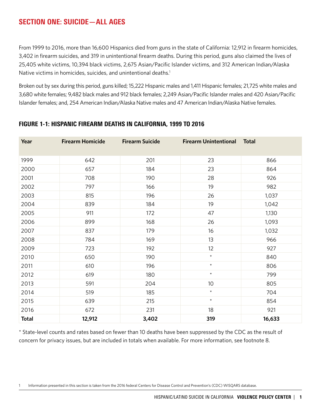# SECTION ONE: SUICIDE—ALL AGES

From 1999 to 2016, more than 16,600 Hispanics died from guns in the state of California: 12,912 in firearm homicides, 3,402 in firearm suicides, and 319 in unintentional firearm deaths. During this period, guns also claimed the lives of 25,405 white victims, 10,394 black victims, 2,675 Asian/Pacific Islander victims, and 312 American Indian/Alaska Native victims in homicides, suicides, and unintentional deaths.<sup>1</sup>

Broken out by sex during this period, guns killed; 15,222 Hispanic males and 1,411 Hispanic females; 21,725 white males and 3,680 white females; 9,482 black males and 912 black females; 2,249 Asian/Pacific Islander males and 420 Asian/Pacific Islander females; and, 254 American Indian/Alaska Native males and 47 American Indian/Alaska Native females.

| Year         | <b>Firearm Homicide</b> | <b>Firearm Suicide</b> | <b>Firearm Unintentional</b> | <b>Total</b> |
|--------------|-------------------------|------------------------|------------------------------|--------------|
| 1999         | 642                     | 201                    | 23                           | 866          |
| 2000         | 657                     | 184                    | 23                           | 864          |
| 2001         | 708                     | 190                    | 28                           | 926          |
| 2002         | 797                     | 166                    | 19                           | 982          |
| 2003         | 815                     | 196                    | 26                           | 1,037        |
| 2004         | 839                     | 184                    | 19                           | 1,042        |
| 2005         | 911                     | 172                    | 47                           | 1,130        |
| 2006         | 899                     | 168                    | 26                           | 1,093        |
| 2007         | 837                     | 179                    | 16                           | 1,032        |
| 2008         | 784                     | 169                    | 13                           | 966          |
| 2009         | 723                     | 192                    | 12                           | 927          |
| 2010         | 650                     | 190                    | $\star$                      | 840          |
| 2011         | 610                     | 196                    | $\star$                      | 806          |
| 2012         | 619                     | 180                    | $\star$                      | 799          |
| 2013         | 591                     | 204                    | 10                           | 805          |
| 2014         | 519                     | 185                    | $\star$                      | 704          |
| 2015         | 639                     | 215                    | $\star$                      | 854          |
| 2016         | 672                     | 231                    | 18                           | 921          |
| <b>Total</b> | 12,912                  | 3,402                  | 319                          | 16,633       |

#### FIGURE 1-1: HISPANIC FIREARM DEATHS IN CALIFORNIA, 1999 TO 2016

\* State-level counts and rates based on fewer than 10 deaths have been suppressed by the CDC as the result of concern for privacy issues, but are included in totals when available. For more information, see footnote 8.

Information presented in this section is taken from the 2016 federal Centers for Disease Control and Prevention's (CDC) WISQARS database.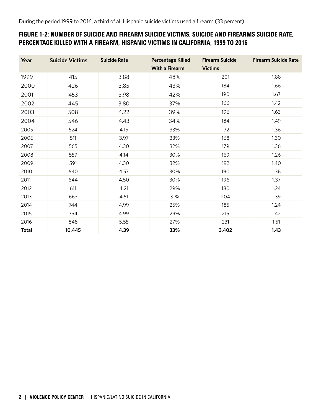## FIGURE 1-2: NUMBER OF SUICIDE AND FIREARM SUICIDE VICTIMS, SUICIDE AND FIREARMS SUICIDE RATE, PERCENTAGE KILLED WITH A FIREARM, HISPANIC VICTIMS IN CALIFORNIA, 1999 TO 2016

| Year         | <b>Suicide Victims</b> | <b>Suicide Rate</b> | <b>Percentage Killed</b> | <b>Firearm Suicide</b> | <b>Firearm Suicide Rate</b> |
|--------------|------------------------|---------------------|--------------------------|------------------------|-----------------------------|
|              |                        |                     | <b>With a Firearm</b>    | <b>Victims</b>         |                             |
| 1999         | 415                    | 3.88                | 48%                      | 201                    | 1.88                        |
| 2000         | 426                    | 3.85                | 43%                      | 184                    | 1.66                        |
| 2001         | 453                    | 3.98                | 42%                      | 190                    | 1.67                        |
| 2002         | 445                    | 3.80                | 37%                      | 166                    | 1.42                        |
| 2003         | 508                    | 4.22                | 39%                      | 196                    | 1.63                        |
| 2004         | 546                    | 4.43                | 34%                      | 184                    | 1.49                        |
| 2005         | 524                    | 4.15                | 33%                      | 172                    | 1.36                        |
| 2006         | 511                    | 3.97                | 33%                      | 168                    | 1.30                        |
| 2007         | 565                    | 4.30                | 32%                      | 179                    | 1.36                        |
| 2008         | 557                    | 4.14                | 30%                      | 169                    | 1.26                        |
| 2009         | 591                    | 4.30                | 32%                      | 192                    | 1.40                        |
| 2010         | 640                    | 4.57                | 30%                      | 190                    | 1.36                        |
| 2011         | 644                    | 4.50                | 30%                      | 196                    | 1.37                        |
| 2012         | 611                    | 4.21                | 29%                      | 180                    | 1.24                        |
| 2013         | 663                    | 4.51                | 31%                      | 204                    | 1.39                        |
| 2014         | 744                    | 4.99                | 25%                      | 185                    | 1.24                        |
| 2015         | 754                    | 4.99                | 29%                      | 215                    | 1.42                        |
| 2016         | 848                    | 5.55                | 27%                      | 231                    | 1.51                        |
| <b>Total</b> | 10,445                 | 4.39                | 33%                      | 3,402                  | 1.43                        |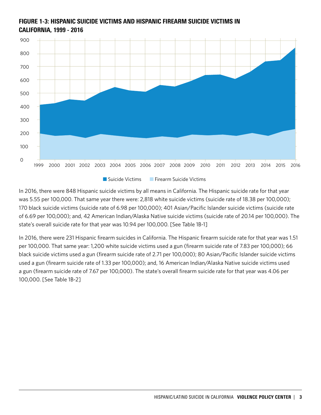

# FIGURE 1-3: HISPANIC SUICIDE VICTIMS AND HISPANIC FIREARM SUICIDE VICTIMS IN CALIFORNIA, 1999 - 2016

In 2016, there were 848 Hispanic suicide victims by all means in California. The Hispanic suicide rate for that year was 5.55 per 100,000. That same year there were: 2,818 white suicide victims (suicide rate of 18.38 per 100,000); 170 black suicide victims (suicide rate of 6.98 per 100,000); 401 Asian/Pacific Islander suicide victims (suicide rate of 6.69 per 100,000); and, 42 American Indian/Alaska Native suicide victims (suicide rate of 20.14 per 100,000). The state's overall suicide rate for that year was 10.94 per 100,000. [See Table 1B-1]

In 2016, there were 231 Hispanic firearm suicides in California. The Hispanic firearm suicide rate for that year was 1.51 per 100,000. That same year: 1,200 white suicide victims used a gun (firearm suicide rate of 7.83 per 100,000); 66 black suicide victims used a gun (firearm suicide rate of 2.71 per 100,000); 80 Asian/Pacific Islander suicide victims used a gun (firearm suicide rate of 1.33 per 100,000); and, 16 American Indian/Alaska Native suicide victims used a gun (firearm suicide rate of 7.67 per 100,000). The state's overall firearm suicide rate for that year was 4.06 per 100,000. [See Table 1B-2]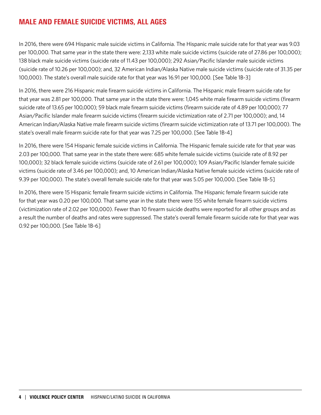# MALE AND FEMALE SUICIDE VICTIMS, ALL AGES

In 2016, there were 694 Hispanic male suicide victims in California. The Hispanic male suicide rate for that year was 9.03 per 100,000. That same year in the state there were: 2,133 white male suicide victims (suicide rate of 27.86 per 100,000); 138 black male suicide victims (suicide rate of 11.43 per 100,000); 292 Asian/Pacific Islander male suicide victims (suicide rate of 10.26 per 100,000); and, 32 American Indian/Alaska Native male suicide victims (suicide rate of 31.35 per 100,000). The state's overall male suicide rate for that year was 16.91 per 100,000. [See Table 1B-3]

In 2016, there were 216 Hispanic male firearm suicide victims in California. The Hispanic male firearm suicide rate for that year was 2.81 per 100,000. That same year in the state there were: 1,045 white male firearm suicide victims (firearm suicide rate of 13.65 per 100,000); 59 black male firearm suicide victims (firearm suicide rate of 4.89 per 100,000); 77 Asian/Pacific Islander male firearm suicide victims (firearm suicide victimization rate of 2.71 per 100,000); and, 14 American Indian/Alaska Native male firearm suicide victims (firearm suicide victimization rate of 13.71 per 100,000). The state's overall male firearm suicide rate for that year was 7.25 per 100,000. [See Table 1B-4]

In 2016, there were 154 Hispanic female suicide victims in California. The Hispanic female suicide rate for that year was 2.03 per 100,000. That same year in the state there were: 685 white female suicide victims (suicide rate of 8.92 per 100,000); 32 black female suicide victims (suicide rate of 2.61 per 100,000); 109 Asian/Pacific Islander female suicide victims (suicide rate of 3.46 per 100,000); and, 10 American Indian/Alaska Native female suicide victims (suicide rate of 9.39 per 100,000). The state's overall female suicide rate for that year was 5.05 per 100,000. [See Table 1B-5]

In 2016, there were 15 Hispanic female firearm suicide victims in California. The Hispanic female firearm suicide rate for that year was 0.20 per 100,000. That same year in the state there were 155 white female firearm suicide victims (victimization rate of 2.02 per 100,000). Fewer than 10 firearm suicide deaths were reported for all other groups and as a result the number of deaths and rates were suppressed. The state's overall female firearm suicide rate for that year was 0.92 per 100,000. [See Table 1B-6]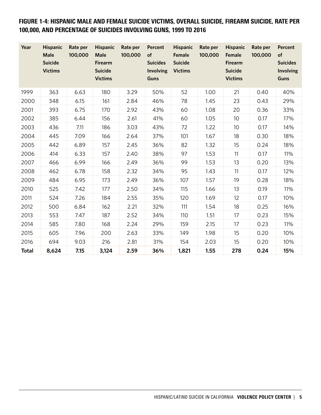FIGURE 1-4: HISPANIC MALE AND FEMALE SUICIDE VICTIMS, OVERALL SUICIDE, FIREARM SUICIDE, RATE PER 100,000, AND PERCENTAGE OF SUICIDES INVOLVING GUNS, 1999 TO 2016

| Year         | <b>Hispanic</b><br>Male<br><b>Suicide</b><br><b>Victims</b> | Rate per<br>100,000 | <b>Hispanic</b><br>Male<br><b>Firearm</b><br><b>Suicide</b><br><b>Victims</b> | Rate per<br>100,000 | <b>Percent</b><br>of<br><b>Suicides</b><br><b>Involving</b><br><b>Guns</b> | <b>Hispanic</b><br>Female<br><b>Suicide</b><br><b>Victims</b> | Rate per<br>100,000 | <b>Hispanic</b><br>Female<br><b>Firearm</b><br><b>Suicide</b><br><b>Victims</b> | Rate per<br>100,000 | <b>Percent</b><br>of<br><b>Suicides</b><br><b>Involving</b><br><b>Guns</b> |
|--------------|-------------------------------------------------------------|---------------------|-------------------------------------------------------------------------------|---------------------|----------------------------------------------------------------------------|---------------------------------------------------------------|---------------------|---------------------------------------------------------------------------------|---------------------|----------------------------------------------------------------------------|
| 1999         | 363                                                         | 6.63                | 180                                                                           | 3.29                | 50%                                                                        | 52                                                            | 1.00                | 21                                                                              | 0.40                | 40%                                                                        |
| 2000         | 348                                                         | 6.15                | 161                                                                           | 2.84                | 46%                                                                        | 78                                                            | 1.45                | 23                                                                              | 0.43                | 29%                                                                        |
| 2001         | 393                                                         | 6.75                | 170                                                                           | 2.92                | 43%                                                                        | 60                                                            | 1.08                | 20                                                                              | 0.36                | 33%                                                                        |
| 2002         | 385                                                         | 6.44                | 156                                                                           | 2.61                | 41%                                                                        | 60                                                            | 1.05                | 10 <sup>°</sup>                                                                 | 0.17                | 17%                                                                        |
| 2003         | 436                                                         | 7.11                | 186                                                                           | 3.03                | 43%                                                                        | 72                                                            | 1.22                | 10 <sup>°</sup>                                                                 | 0.17                | 14%                                                                        |
| 2004         | 445                                                         | 7.09                | 166                                                                           | 2.64                | 37%                                                                        | 101                                                           | 1.67                | 18                                                                              | 0.30                | 18%                                                                        |
| 2005         | 442                                                         | 6.89                | 157                                                                           | 2.45                | 36%                                                                        | 82                                                            | 1.32                | 15                                                                              | 0.24                | 18%                                                                        |
| 2006         | 414                                                         | 6.33                | 157                                                                           | 2.40                | 38%                                                                        | 97                                                            | 1.53                | 11                                                                              | 0.17                | 11%                                                                        |
| 2007         | 466                                                         | 6.99                | 166                                                                           | 2.49                | 36%                                                                        | 99                                                            | 1.53                | 13                                                                              | 0.20                | 13%                                                                        |
| 2008         | 462                                                         | 6.78                | 158                                                                           | 2.32                | 34%                                                                        | 95                                                            | 1.43                | 11                                                                              | 0.17                | 12%                                                                        |
| 2009         | 484                                                         | 6.95                | 173                                                                           | 2.49                | 36%                                                                        | 107                                                           | 1.57                | 19                                                                              | 0.28                | 18%                                                                        |
| 2010         | 525                                                         | 7.42                | 177                                                                           | 2.50                | 34%                                                                        | 115                                                           | 1.66                | 13                                                                              | 0.19                | 11%                                                                        |
| 2011         | 524                                                         | 7.26                | 184                                                                           | 2.55                | 35%                                                                        | 120                                                           | 1.69                | 12                                                                              | 0.17                | 10%                                                                        |
| 2012         | 500                                                         | 6.84                | 162                                                                           | 2.21                | 32%                                                                        | 111                                                           | 1.54                | 18                                                                              | 0.25                | 16%                                                                        |
| 2013         | 553                                                         | 7.47                | 187                                                                           | 2.52                | 34%                                                                        | 110                                                           | 1.51                | 17                                                                              | 0.23                | 15%                                                                        |
| 2014         | 585                                                         | 7.80                | 168                                                                           | 2.24                | 29%                                                                        | 159                                                           | 2.15                | 17                                                                              | 0.23                | 11%                                                                        |
| 2015         | 605                                                         | 7.96                | 200                                                                           | 2.63                | 33%                                                                        | 149                                                           | 1.98                | 15                                                                              | 0.20                | 10%                                                                        |
| 2016         | 694                                                         | 9.03                | 216                                                                           | 2.81                | 31%                                                                        | 154                                                           | 2.03                | 15                                                                              | 0.20                | 10%                                                                        |
| <b>Total</b> | 8,624                                                       | 7.15                | 3,124                                                                         | 2.59                | 36%                                                                        | 1,821                                                         | 1.55                | 278                                                                             | 0.24                | 15%                                                                        |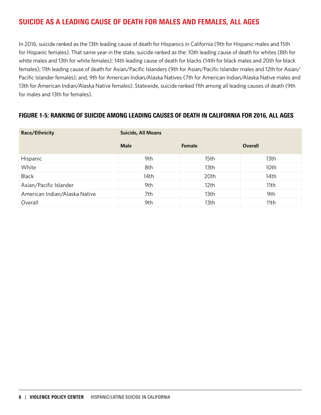# SUICIDE AS A LEADING CAUSE OF DEATH FOR MALES AND FEMALES, ALL AGES

In 2016, suicide ranked as the 13th leading cause of death for Hispanics in California (9th for Hispanic males and 15th for Hispanic females). That same year in the state, suicide ranked as the: 10th leading cause of death for whites (8th for white males and 13th for white females); 14th leading cause of death for blacks (14th for black males and 20th for black females); 11th leading cause of death for Asian/Pacific Islanders (9th for Asian/Pacific Islander males and 12th for Asian/ Pacific Islander females); and, 9th for American Indian/Alaska Natives (7th for American Indian/Alaska Native males and 13th for American Indian/Alaska Native females). Statewide, suicide ranked 11th among all leading causes of death (9th for males and 13th for females).

#### FIGURE 1-5: RANKING OF SUICIDE AMONG LEADING CAUSES OF DEATH IN CALIFORNIA FOR 2016, ALL AGES

| Race/Ethnicity                | <b>Suicide, All Means</b> |        |                |  |  |  |  |
|-------------------------------|---------------------------|--------|----------------|--|--|--|--|
|                               | Male                      | Female | <b>Overall</b> |  |  |  |  |
| Hispanic                      | 9th                       | 15th   | 13th           |  |  |  |  |
| White                         | 8th                       | 13th   | 10th           |  |  |  |  |
| <b>Black</b>                  | 14th                      | 20th   | 14th           |  |  |  |  |
| Asian/Pacific Islander        | 9th                       | 12th   | 11th           |  |  |  |  |
| American Indian/Alaska Native | 7th                       | 13th   | 9th            |  |  |  |  |
| Overall                       | 9th                       | 13th   | 11th           |  |  |  |  |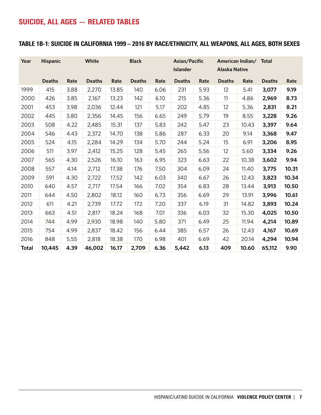# SUICIDE, ALL AGES — RELATED TABLES

#### TABLE 1B-1: SUICIDE IN CALIFORNIA 1999 – 2016 BY RACE/ETHNICITY, ALL WEAPONS, ALL AGES, BOTH SEXES

| Year         | <b>Hispanic</b> |      | <b>White</b>  |       | <b>Black</b>  |      | Asian/Pacific<br><b>Islander</b> |      | <b>Alaska Native</b> | American Indian/ Total |               |       |
|--------------|-----------------|------|---------------|-------|---------------|------|----------------------------------|------|----------------------|------------------------|---------------|-------|
|              | <b>Deaths</b>   | Rate | <b>Deaths</b> | Rate  | <b>Deaths</b> | Rate | <b>Deaths</b>                    | Rate | <b>Deaths</b>        | Rate                   | <b>Deaths</b> | Rate  |
| 1999         | 415             | 3.88 | 2,270         | 13.85 | 140           | 6.06 | 231                              | 5.93 | 12                   | 5.41                   | 3,077         | 9.19  |
| 2000         | 426             | 3.85 | 2,167         | 13.23 | 142           | 6.10 | 215                              | 5.36 | 11                   | 4.86                   | 2,969         | 8.73  |
| 2001         | 453             | 3.98 | 2,036         | 12.44 | 121           | 5.17 | 202                              | 4.85 | 12                   | 5.36                   | 2,831         | 8.21  |
| 2002         | 445             | 3.80 | 2,356         | 14.45 | 156           | 6.65 | 249                              | 5.79 | 19                   | 8.55                   | 3,228         | 9.26  |
| 2003         | 508             | 4.22 | 2,485         | 15.31 | 137           | 5.83 | 242                              | 5.47 | 23                   | 10.43                  | 3,397         | 9.64  |
| 2004         | 546             | 4.43 | 2,372         | 14.70 | 138           | 5.86 | 287                              | 6.33 | 20                   | 9.14                   | 3,368         | 9.47  |
| 2005         | 524             | 4.15 | 2,284         | 14.29 | 134           | 5.70 | 244                              | 5.24 | 15                   | 6.91                   | 3,206         | 8.95  |
| 2006         | 511             | 3.97 | 2,412         | 15.25 | 128           | 5.45 | 265                              | 5.56 | 12                   | 5.60                   | 3,334         | 9.26  |
| 2007         | 565             | 4.30 | 2,526         | 16.10 | 163           | 6.95 | 323                              | 6.63 | 22                   | 10.38                  | 3,602         | 9.94  |
| 2008         | 557             | 4.14 | 2,712         | 17.38 | 176           | 7.50 | 304                              | 6.09 | 24                   | 11.40                  | 3,775         | 10.31 |
| 2009         | 591             | 4.30 | 2,722         | 17.52 | 142           | 6.03 | 340                              | 6.67 | 26                   | 12.43                  | 3,823         | 10.34 |
| 2010         | 640             | 4.57 | 2,717         | 17.54 | 166           | 7.02 | 354                              | 6.83 | 28                   | 13.44                  | 3,913         | 10.50 |
| 2011         | 644             | 4.50 | 2,802         | 18.12 | 160           | 6.73 | 356                              | 6.69 | 29                   | 13.91                  | 3,996         | 10.61 |
| 2012         | 611             | 4.21 | 2,739         | 17.72 | 172           | 7.20 | 337                              | 6.19 | 31                   | 14.82                  | 3,893         | 10.24 |
| 2013         | 663             | 4.51 | 2,817         | 18.24 | 168           | 7.01 | 336                              | 6.03 | 32                   | 15.30                  | 4,025         | 10.50 |
| 2014         | 744             | 4.99 | 2,930         | 18.98 | 140           | 5.80 | 371                              | 6.49 | 25                   | 11.94                  | 4,214         | 10.89 |
| 2015         | 754             | 4.99 | 2,837         | 18.42 | 156           | 6.44 | 385                              | 6.57 | 26                   | 12.43                  | 4,167         | 10.69 |
| 2016         | 848             | 5.55 | 2,818         | 18.38 | 170           | 6.98 | 401                              | 6.69 | 42                   | 20.14                  | 4,294         | 10.94 |
| <b>Total</b> | 10,445          | 4.39 | 46,002        | 16.17 | 2,709         | 6.36 | 5,442                            | 6.13 | 409                  | 10.60                  | 65,112        | 9.90  |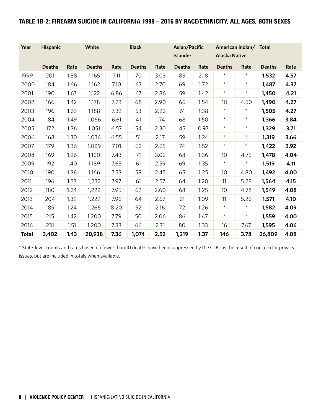#### TABLE 1B-2: FIREARM SUICIDE IN CALIFORNIA 1999 – 2016 BY RACE/ETHNICITY, ALL AGES, BOTH SEXES

| Year         | <b>Hispanic</b> |      | White         |      | <b>Black</b>  |      | Asian/Pacific<br><b>Islander</b> |      | <b>Alaska Native</b> | American Indian/ Total |               |      |
|--------------|-----------------|------|---------------|------|---------------|------|----------------------------------|------|----------------------|------------------------|---------------|------|
|              |                 |      |               |      |               |      |                                  |      |                      |                        |               |      |
|              | <b>Deaths</b>   | Rate | <b>Deaths</b> | Rate | <b>Deaths</b> | Rate | <b>Deaths</b>                    | Rate | <b>Deaths</b>        | Rate                   | <b>Deaths</b> | Rate |
| 1999         | 201             | 1.88 | 1,165         | 7.11 | 70            | 3.03 | 85                               | 2.18 | $^\star$             | $^\star$               | 1,532         | 4.57 |
| 2000         | 184             | 1.66 | 1,162         | 7.10 | 63            | 2.70 | 69                               | 1.72 | $\star$              | $\star$                | 1,487         | 4.37 |
| 2001         | 190             | 1.67 | 1,122         | 6.86 | 67            | 2.86 | 59                               | 1.42 | $\star$              | $\star$                | 1,450         | 4.21 |
| 2002         | 166             | 1.42 | 1,178         | 7.23 | 68            | 2.90 | 66                               | 1.54 | 10                   | 4.50                   | 1,490         | 4.27 |
| 2003         | 196             | 1.63 | 1,188         | 7.32 | 53            | 2.26 | 61                               | 1.38 | $\star$              | $\star$                | 1,505         | 4.27 |
| 2004         | 184             | 1.49 | 1,066         | 6.61 | 41            | 1.74 | 68                               | 1.50 | $\star$              | $^{\star}$             | 1,366         | 3.84 |
| 2005         | 172             | 1.36 | 1,051         | 6.57 | 54            | 2.30 | 45                               | 0.97 | $\star$              | $\star$                | 1,329         | 3.71 |
| 2006         | 168             | 1.30 | 1,036         | 6.55 | 51            | 2.17 | 59                               | 1.24 | $^{\star}$           | $\star$                | 1,319         | 3.66 |
| 2007         | 179             | 1.36 | 1,099         | 7.01 | 62            | 2.65 | 74                               | 1.52 | $\star$              | $\star$                | 1,422         | 3.92 |
| 2008         | 169             | 1.26 | 1,160         | 7.43 | 71            | 3.02 | 68                               | 1.36 | 10                   | 4.75                   | 1,478         | 4.04 |
| 2009         | 192             | 1.40 | 1,189         | 7.65 | 61            | 2.59 | 69                               | 1.35 | $\star$              | $\star$                | 1,519         | 4.11 |
| 2010         | 190             | 1.36 | 1,166         | 7.53 | 58            | 2.45 | 65                               | 1.25 | 10                   | 4.80                   | 1,492         | 4.00 |
| 2011         | 196             | 1.37 | 1,232         | 7.97 | 61            | 2.57 | 64                               | 1.20 | 11                   | 5.28                   | 1,564         | 4.15 |
| 2012         | 180             | 1.24 | 1,229         | 7.95 | 62            | 2.60 | 68                               | 1.25 | 10                   | 4.78                   | 1,549         | 4.08 |
| 2013         | 204             | 1.39 | 1,229         | 7.96 | 64            | 2.67 | 61                               | 1.09 | 11                   | 5.26                   | 1,571         | 4.10 |
| 2014         | 185             | 1.24 | 1,266         | 8.20 | 52            | 2.16 | 72                               | 1.26 | $\star$              | $^{\star}$             | 1,582         | 4.09 |
| 2015         | 215             | 1.42 | 1,200         | 7.79 | 50            | 2.06 | 86                               | 1.47 | $\star$              | $\star$                | 1,559         | 4.00 |
| 2016         | 231             | 1.51 | 1,200         | 7.83 | 66            | 2.71 | 80                               | 1.33 | 16                   | 7.67                   | 1,595         | 4.06 |
| <b>Total</b> | 3,402           | 1.43 | 20,938        | 7.36 | 1,074         | 2.52 | 1,219                            | 1.37 | 146                  | 3.78                   | 26,809        | 4.08 |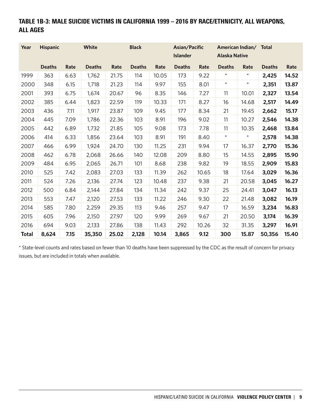# TABLE 1B-3: MALE SUICIDE VICTIMS IN CALIFORNIA 1999 – 2016 BY RACE/ETHNICITY, ALL WEAPONS, ALL AGES

| Year         | <b>Hispanic</b> |      | White         |       | <b>Black</b>  |       | Asian/Pacific   |       |                      | American Indian/ Total |               |       |
|--------------|-----------------|------|---------------|-------|---------------|-------|-----------------|-------|----------------------|------------------------|---------------|-------|
|              |                 |      |               |       |               |       | <b>Islander</b> |       | <b>Alaska Native</b> |                        |               |       |
|              | <b>Deaths</b>   | Rate | <b>Deaths</b> | Rate  | <b>Deaths</b> | Rate  | <b>Deaths</b>   | Rate  | <b>Deaths</b>        | Rate                   | <b>Deaths</b> | Rate  |
| 1999         | 363             | 6.63 | 1,762         | 21.75 | 114           | 10.05 | 173             | 9.22  | $\star$              | $^{\star}$             | 2,425         | 14.52 |
| 2000         | 348             | 6.15 | 1,718         | 21.23 | 114           | 9.97  | 155             | 8.01  | $\star$              | $\star$                | 2,351         | 13.87 |
| 2001         | 393             | 6.75 | 1,674         | 20.67 | 96            | 8.35  | 146             | 7.27  | 11                   | 10.01                  | 2,327         | 13.54 |
| 2002         | 385             | 6.44 | 1,823         | 22.59 | 119           | 10.33 | 171             | 8.27  | 16                   | 14.68                  | 2,517         | 14.49 |
| 2003         | 436             | 7.11 | 1,917         | 23.87 | 109           | 9.45  | 177             | 8.34  | 21                   | 19.45                  | 2,662         | 15.17 |
| 2004         | 445             | 7.09 | 1,786         | 22.36 | 103           | 8.91  | 196             | 9.02  | 11                   | 10.27                  | 2,546         | 14.38 |
| 2005         | 442             | 6.89 | 1,732         | 21.85 | 105           | 9.08  | 173             | 7.78  | 11                   | 10.35                  | 2,468         | 13.84 |
| 2006         | 414             | 6.33 | 1,856         | 23.64 | 103           | 8.91  | 191             | 8.40  | $\star$              | $\star$                | 2,578         | 14.38 |
| 2007         | 466             | 6.99 | 1,924         | 24.70 | 130           | 11.25 | 231             | 9.94  | 17                   | 16.37                  | 2,770         | 15.36 |
| 2008         | 462             | 6.78 | 2,068         | 26.66 | 140           | 12.08 | 209             | 8.80  | 15                   | 14.55                  | 2,895         | 15.90 |
| 2009         | 484             | 6.95 | 2,065         | 26.71 | 101           | 8.68  | 238             | 9.82  | 19                   | 18.55                  | 2,909         | 15.83 |
| 2010         | 525             | 7.42 | 2,083         | 27.03 | 133           | 11.39 | 262             | 10.65 | 18                   | 17.64                  | 3,029         | 16.36 |
| 2011         | 524             | 7.26 | 2,136         | 27.74 | 123           | 10.48 | 237             | 9.38  | 21                   | 20.58                  | 3,045         | 16.27 |
| 2012         | 500             | 6.84 | 2,144         | 27.84 | 134           | 11.34 | 242             | 9.37  | 25                   | 24.41                  | 3,047         | 16.13 |
| 2013         | 553             | 7.47 | 2,120         | 27.53 | 133           | 11.22 | 246             | 9.30  | 22                   | 21.48                  | 3,082         | 16.19 |
| 2014         | 585             | 7.80 | 2,259         | 29.35 | 113           | 9.46  | 257             | 9.47  | 17                   | 16.59                  | 3,234         | 16.83 |
| 2015         | 605             | 7.96 | 2,150         | 27.97 | 120           | 9.99  | 269             | 9.67  | 21                   | 20.50                  | 3,174         | 16.39 |
| 2016         | 694             | 9.03 | 2,133         | 27.86 | 138           | 11.43 | 292             | 10.26 | 32                   | 31.35                  | 3,297         | 16.91 |
| <b>Total</b> | 8,624           | 7.15 | 35,350        | 25.02 | 2,128         | 10.14 | 3,865           | 9.12  | 300                  | 15.87                  | 50,356        | 15.40 |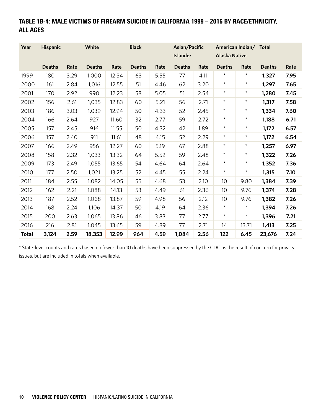# TABLE 1B-4: MALE VICTIMS OF FIREARM SUICIDE IN CALIFORNIA 1999 – 2016 BY RACE/ETHNICITY, ALL AGES

| Year         | <b>Hispanic</b> |      | White         |       | <b>Black</b>  |      | Asian/Pacific   |      |                      | American Indian/ Total |               |      |
|--------------|-----------------|------|---------------|-------|---------------|------|-----------------|------|----------------------|------------------------|---------------|------|
|              |                 |      |               |       |               |      | <b>Islander</b> |      | <b>Alaska Native</b> |                        |               |      |
|              | <b>Deaths</b>   | Rate | <b>Deaths</b> | Rate  | <b>Deaths</b> | Rate | <b>Deaths</b>   | Rate | <b>Deaths</b>        | Rate                   | <b>Deaths</b> | Rate |
| 1999         | 180             | 3.29 | 1,000         | 12.34 | 63            | 5.55 | 77              | 4.11 | $^\star$             | $^{\star}$             | 1,327         | 7.95 |
| 2000         | 161             | 2.84 | 1,016         | 12.55 | 51            | 4.46 | 62              | 3.20 | $\star$              | $\star$                | 1,297         | 7.65 |
| 2001         | 170             | 2.92 | 990           | 12.23 | 58            | 5.05 | 51              | 2.54 | $\star$              | $^{\star}$             | 1,280         | 7.45 |
| 2002         | 156             | 2.61 | 1,035         | 12.83 | 60            | 5.21 | 56              | 2.71 | $\star$              | $^{\star}$             | 1,317         | 7.58 |
| 2003         | 186             | 3.03 | 1,039         | 12.94 | 50            | 4.33 | 52              | 2.45 | $\star$              | $^{\star}$             | 1,334         | 7.60 |
| 2004         | 166             | 2.64 | 927           | 11.60 | 32            | 2.77 | 59              | 2.72 | $^{\star}$           | $^{\star}$             | 1,188         | 6.71 |
| 2005         | 157             | 2.45 | 916           | 11.55 | 50            | 4.32 | 42              | 1.89 | $\star$              | $\star$                | 1,172         | 6.57 |
| 2006         | 157             | 2.40 | 911           | 11.61 | 48            | 4.15 | 52              | 2.29 | $\star$              | $^{\star}$             | 1,172         | 6.54 |
| 2007         | 166             | 2.49 | 956           | 12.27 | 60            | 5.19 | 67              | 2.88 | $\star$              | $\star$                | 1,257         | 6.97 |
| 2008         | 158             | 2.32 | 1,033         | 13.32 | 64            | 5.52 | 59              | 2.48 | $^{\star}$           | $^{\star}$             | 1,322         | 7.26 |
| 2009         | 173             | 2.49 | 1,055         | 13.65 | 54            | 4.64 | 64              | 2.64 | $\star$              | $\star$                | 1,352         | 7.36 |
| 2010         | 177             | 2.50 | 1,021         | 13.25 | 52            | 4.45 | 55              | 2.24 | $\star$              | $^{\star}$             | 1,315         | 7.10 |
| 2011         | 184             | 2.55 | 1,082         | 14.05 | 55            | 4.68 | 53              | 2.10 | 10                   | 9.80                   | 1,384         | 7.39 |
| 2012         | 162             | 2.21 | 1,088         | 14.13 | 53            | 4.49 | 61              | 2.36 | 10                   | 9.76                   | 1,374         | 7.28 |
| 2013         | 187             | 2.52 | 1,068         | 13.87 | 59            | 4.98 | 56              | 2.12 | 10                   | 9.76                   | 1,382         | 7.26 |
| 2014         | 168             | 2.24 | 1,106         | 14.37 | 50            | 4.19 | 64              | 2.36 | $\star$              | $^{\star}$             | 1,394         | 7.26 |
| 2015         | 200             | 2.63 | 1,065         | 13.86 | 46            | 3.83 | 77              | 2.77 | $\star$              | $^{\star}$             | 1,396         | 7.21 |
| 2016         | 216             | 2.81 | 1,045         | 13.65 | 59            | 4.89 | 77              | 2.71 | 14                   | 13.71                  | 1,413         | 7.25 |
| <b>Total</b> | 3,124           | 2.59 | 18,353        | 12.99 | 964           | 4.59 | 1,084           | 2.56 | 122                  | 6.45                   | 23,676        | 7.24 |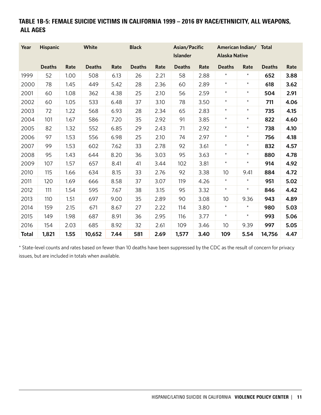# TABLE 1B-5: FEMALE SUICIDE VICTIMS IN CALIFORNIA 1999 – 2016 BY RACE/ETHNICITY, ALL WEAPONS, ALL AGES

| Year         | <b>Hispanic</b> |      | White         |      | <b>Black</b>  |      | Asian/Pacific<br><b>Islander</b> |      | <b>Alaska Native</b> | American Indian/ Total |               |      |
|--------------|-----------------|------|---------------|------|---------------|------|----------------------------------|------|----------------------|------------------------|---------------|------|
|              | <b>Deaths</b>   | Rate | <b>Deaths</b> | Rate | <b>Deaths</b> | Rate | <b>Deaths</b>                    | Rate | <b>Deaths</b>        | Rate                   | <b>Deaths</b> | Rate |
| 1999         | 52              | 1.00 | 508           | 6.13 | 26            | 2.21 | 58                               | 2.88 | $\star$              | $\star$                | 652           | 3.88 |
| 2000         | 78              | 1.45 | 449           | 5.42 | 28            | 2.36 | 60                               | 2.89 | $\star$              | $\star$                | 618           | 3.62 |
| 2001         | 60              | 1.08 | 362           | 4.38 | 25            | 2.10 | 56                               | 2.59 | $\star$              | $\star$                | 504           | 2.91 |
| 2002         | 60              | 1.05 | 533           | 6.48 | 37            | 3.10 | 78                               | 3.50 | $\star$              | $\star$                | 711           | 4.06 |
| 2003         | 72              | 1.22 | 568           | 6.93 | 28            | 2.34 | 65                               | 2.83 | $\star$              | $\star$                | 735           | 4.15 |
| 2004         | 101             | 1.67 | 586           | 7.20 | 35            | 2.92 | 91                               | 3.85 | $\star$              | $\star$                | 822           | 4.60 |
| 2005         | 82              | 1.32 | 552           | 6.85 | 29            | 2.43 | 71                               | 2.92 | $\star$              | $\star$                | 738           | 4.10 |
| 2006         | 97              | 1.53 | 556           | 6.98 | 25            | 2.10 | 74                               | 2.97 | $\star$              | $\star$                | 756           | 4.18 |
| 2007         | 99              | 1.53 | 602           | 7.62 | 33            | 2.78 | 92                               | 3.61 | $\star$              | $\star$                | 832           | 4.57 |
| 2008         | 95              | 1.43 | 644           | 8.20 | 36            | 3.03 | 95                               | 3.63 | $\star$              | $\star$                | 880           | 4.78 |
| 2009         | 107             | 1.57 | 657           | 8.41 | 41            | 3.44 | 102                              | 3.81 | $\star$              | $\star$                | 914           | 4.92 |
| 2010         | 115             | 1.66 | 634           | 8.15 | 33            | 2.76 | 92                               | 3.38 | 10                   | 9.41                   | 884           | 4.72 |
| 2011         | 120             | 1.69 | 666           | 8.58 | 37            | 3.07 | 119                              | 4.26 | $\star$              | $\star$                | 951           | 5.02 |
| 2012         | 111             | 1.54 | 595           | 7.67 | 38            | 3.15 | 95                               | 3.32 | $\star$              | $\star$                | 846           | 4.42 |
| 2013         | 110             | 1.51 | 697           | 9.00 | 35            | 2.89 | 90                               | 3.08 | 10 <sup>°</sup>      | 9.36                   | 943           | 4.89 |
| 2014         | 159             | 2.15 | 671           | 8.67 | 27            | 2.22 | 114                              | 3.80 | $\star$              | $\star$                | 980           | 5.03 |
| 2015         | 149             | 1.98 | 687           | 8.91 | 36            | 2.95 | 116                              | 3.77 | $\star$              | $\star$                | 993           | 5.06 |
| 2016         | 154             | 2.03 | 685           | 8.92 | 32            | 2.61 | 109                              | 3.46 | 10                   | 9.39                   | 997           | 5.05 |
| <b>Total</b> | 1,821           | 1.55 | 10,652        | 7.44 | 581           | 2.69 | 1,577                            | 3.40 | 109                  | 5.54                   | 14,756        | 4.47 |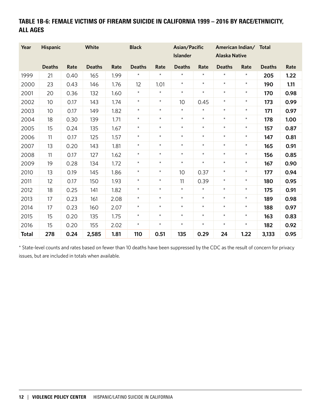# TABLE 1B-6: FEMALE VICTIMS OF FIREARM SUICIDE IN CALIFORNIA 1999 – 2016 BY RACE/ETHNICITY, ALL AGES

| Year         | <b>Hispanic</b> |      | <b>White</b>  |      | <b>Black</b>  |         | Asian/Pacific<br><b>Islander</b> |            | <b>Alaska Native</b> | American Indian/ Total |               |      |
|--------------|-----------------|------|---------------|------|---------------|---------|----------------------------------|------------|----------------------|------------------------|---------------|------|
|              | <b>Deaths</b>   | Rate | <b>Deaths</b> | Rate | <b>Deaths</b> | Rate    | <b>Deaths</b>                    | Rate       | <b>Deaths</b>        | Rate                   | <b>Deaths</b> | Rate |
| 1999         | 21              | 0.40 | 165           | 1.99 | $\star$       | $\star$ | $\star$                          | $\star$    | $\star$              | $\star$                | 205           | 1.22 |
| 2000         | 23              | 0.43 | 146           | 1.76 | 12            | 1.01    | $\star$                          | $\star$    | $\star$              | $\star$                | 190           | 1.11 |
| 2001         | 20              | 0.36 | 132           | 1.60 | $\star$       | $\star$ | $\star$                          | $\star$    | $\star$              | $\star$                | 170           | 0.98 |
| 2002         | 10              | 0.17 | 143           | 1.74 | $\star$       | $\star$ | 10                               | 0.45       | $\star$              | $\star$                | 173           | 0.99 |
| 2003         | 10              | 0.17 | 149           | 1.82 | $\star$       | $\star$ | $\star$                          | $\star$    | $\star$              | $\star$                | 171           | 0.97 |
| 2004         | 18              | 0.30 | 139           | 1.71 | $\star$       | $\star$ | $\star$                          | $\star$    | $\star$              | $\star$                | 178           | 1.00 |
| 2005         | 15              | 0.24 | 135           | 1.67 | $\star$       | $\star$ | $\star$                          | $\star$    | $\star$              | $\star$                | 157           | 0.87 |
| 2006         | 11              | 0.17 | 125           | 1.57 | $\star$       | $\star$ | $\star$                          | $\star$    | $\star$              | $\star$                | 147           | 0.81 |
| 2007         | 13              | 0.20 | 143           | 1.81 | $\star$       | $\star$ | $\star$                          | $\star$    | $\star$              | $\star$                | 165           | 0.91 |
| 2008         | 11              | 0.17 | 127           | 1.62 | $\star$       | $\star$ | $\star$                          | $\star$    | $\star$              | $\star$                | 156           | 0.85 |
| 2009         | 19              | 0.28 | 134           | 1.72 | $\star$       | $\star$ | $\star$                          | $\star$    | $\star$              | $\star$                | 167           | 0.90 |
| 2010         | 13              | 0.19 | 145           | 1.86 | $\star$       | $\star$ | 10                               | 0.37       | $\star$              | $\star$                | 177           | 0.94 |
| 2011         | 12              | 0.17 | 150           | 1.93 | $\star$       | $\star$ | 11                               | 0.39       | $\star$              | $\star$                | 180           | 0.95 |
| 2012         | 18              | 0.25 | 141           | 1.82 | $\star$       | $\star$ | $\star$                          | $\star$    | $\star$              | $\star$                | 175           | 0.91 |
| 2013         | 17              | 0.23 | 161           | 2.08 | $\star$       | $\star$ | $\star$                          | $\star$    | $\star$              | $\star$                | 189           | 0.98 |
| 2014         | 17              | 0.23 | 160           | 2.07 | $\star$       | $\star$ | $\star$                          | $\star$    | $\star$              | $\star$                | 188           | 0.97 |
| 2015         | 15              | 0.20 | 135           | 1.75 | $\star$       | $\star$ | $\star$                          | $^{\star}$ | $\star$              | $\star$                | 163           | 0.83 |
| 2016         | 15              | 0.20 | 155           | 2.02 | $\star$       | $\star$ | $\star$                          | $\star$    | $\star$              | $\star$                | 182           | 0.92 |
| <b>Total</b> | 278             | 0.24 | 2,585         | 1.81 | 110           | 0.51    | 135                              | 0.29       | 24                   | 1.22                   | 3,133         | 0.95 |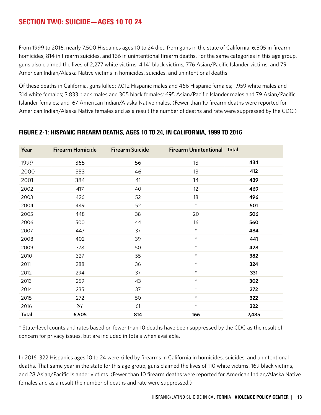# SECTION TWO: SUICIDE—AGES 10 TO 24

From 1999 to 2016, nearly 7,500 Hispanics ages 10 to 24 died from guns in the state of California: 6,505 in firearm homicides, 814 in firearm suicides, and 166 in unintentional firearm deaths. For the same categories in this age group, guns also claimed the lives of 2,277 white victims, 4,141 black victims, 776 Asian/Pacific Islander victims, and 79 American Indian/Alaska Native victims in homicides, suicides, and unintentional deaths.

Of these deaths in California, guns killed: 7,012 Hispanic males and 466 Hispanic females; 1,959 white males and 314 white females; 3,833 black males and 305 black females; 695 Asian/Pacific Islander males and 79 Asian/Pacific Islander females; and, 67 American Indian/Alaska Native males. (Fewer than 10 firearm deaths were reported for American Indian/Alaska Native females and as a result the number of deaths and rate were suppressed by the CDC.)

| Year         | <b>Firearm Homicide</b> | <b>Firearm Suicide</b> | <b>Firearm Unintentional Total</b> |       |
|--------------|-------------------------|------------------------|------------------------------------|-------|
| 1999         | 365                     | 56                     | 13                                 | 434   |
| 2000         | 353                     | 46                     | 13                                 | 412   |
| 2001         | 384                     | 41                     | 14                                 | 439   |
| 2002         | 417                     | 40                     | 12                                 | 469   |
| 2003         | 426                     | 52                     | 18                                 | 496   |
| 2004         | 449                     | 52                     | $\star$                            | 501   |
| 2005         | 448                     | 38                     | 20                                 | 506   |
| 2006         | 500                     | 44                     | 16                                 | 560   |
| 2007         | 447                     | 37                     | $\star$                            | 484   |
| 2008         | 402                     | 39                     | $\star$                            | 441   |
| 2009         | 378                     | 50                     | $\star$                            | 428   |
| 2010         | 327                     | 55                     | $\star$                            | 382   |
| 2011         | 288                     | 36                     | $\star$                            | 324   |
| 2012         | 294                     | 37                     | $\star$                            | 331   |
| 2013         | 259                     | 43                     | $\star$                            | 302   |
| 2014         | 235                     | 37                     | $\star$                            | 272   |
| 2015         | 272                     | 50                     | $\star$                            | 322   |
| 2016         | 261                     | 61                     | $\star$                            | 322   |
| <b>Total</b> | 6,505                   | 814                    | 166                                | 7,485 |

#### FIGURE 2-1: HISPANIC FIREARM DEATHS, AGES 10 TO 24, IN CALIFORNIA, 1999 TO 2016

\* State-level counts and rates based on fewer than 10 deaths have been suppressed by the CDC as the result of concern for privacy issues, but are included in totals when available.

In 2016, 322 Hispanics ages 10 to 24 were killed by firearms in California in homicides, suicides, and unintentional deaths. That same year in the state for this age group, guns claimed the lives of 110 white victims, 169 black victims, and 28 Asian/Pacific Islander victims. (Fewer than 10 firearm deaths were reported for American Indian/Alaska Native females and as a result the number of deaths and rate were suppressed.)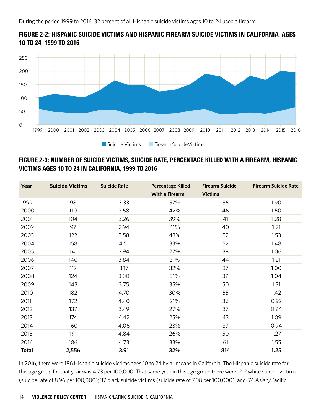



## FIGURE 2-3: NUMBER OF SUICIDE VICTIMS, SUICIDE RATE, PERCENTAGE KILLED WITH A FIREARM, HISPANIC VICTIMS AGES 10 TO 24 IN CALIFORNIA, 1999 TO 2016

| Year         | <b>Suicide Victims</b> | <b>Suicide Rate</b> | <b>Percentage Killed</b><br><b>With a Firearm</b> | <b>Firearm Suicide</b><br><b>Victims</b> | <b>Firearm Suicide Rate</b> |
|--------------|------------------------|---------------------|---------------------------------------------------|------------------------------------------|-----------------------------|
| 1999         | 98                     | 3.33                | 57%                                               | 56                                       | 1.90                        |
| 2000         | 110                    | 3.58                | 42%                                               | 46                                       | 1.50                        |
| 2001         | 104                    | 3.26                | 39%                                               | 41                                       | 1.28                        |
| 2002         | 97                     | 2.94                | 41%                                               | 40                                       | 1.21                        |
| 2003         | 122                    | 3.58                | 43%                                               | 52                                       | 1.53                        |
| 2004         | 158                    | 4.51                | 33%                                               | 52                                       | 1.48                        |
| 2005         | 141                    | 3.94                | 27%                                               | 38                                       | 1.06                        |
| 2006         | 140                    | 3.84                | 31%                                               | 44                                       | 1.21                        |
| 2007         | 117                    | 3.17                | 32%                                               | 37                                       | 1.00                        |
| 2008         | 124                    | 3.30                | 31%                                               | 39                                       | 1.04                        |
| 2009         | 143                    | 3.75                | 35%                                               | 50                                       | 1.31                        |
| 2010         | 182                    | 4.70                | 30%                                               | 55                                       | 1.42                        |
| 2011         | 172                    | 4.40                | 21%                                               | 36                                       | 0.92                        |
| 2012         | 137                    | 3.49                | 27%                                               | 37                                       | 0.94                        |
| 2013         | 174                    | 4.42                | 25%                                               | 43                                       | 1.09                        |
| 2014         | 160                    | 4.06                | 23%                                               | 37                                       | 0.94                        |
| 2015         | 191                    | 4.84                | 26%                                               | 50                                       | 1.27                        |
| 2016         | 186                    | 4.73                | 33%                                               | 61                                       | 1.55                        |
| <b>Total</b> | 2,556                  | 3.91                | 32%                                               | 814                                      | 1.25                        |

In 2016, there were 186 Hispanic suicide victims ages 10 to 24 by all means in California. The Hispanic suicide rate for this age group for that year was 4.73 per 100,000. That same year in this age group there were: 212 white suicide victims (suicide rate of 8.96 per 100,000); 37 black suicide victims (suicide rate of 7.08 per 100,000); and, 74 Asian/Pacific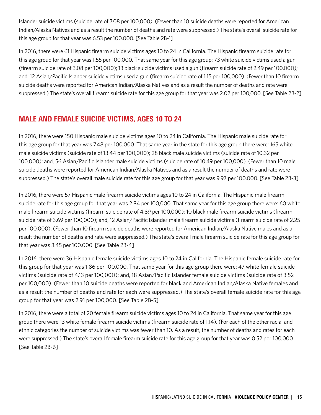Islander suicide victims (suicide rate of 7.08 per 100,000). (Fewer than 10 suicide deaths were reported for American Indian/Alaska Natives and as a result the number of deaths and rate were suppressed.) The state's overall suicide rate for this age group for that year was 6.53 per 100,000. [See Table 2B-1]

In 2016, there were 61 Hispanic firearm suicide victims ages 10 to 24 in California. The Hispanic firearm suicide rate for this age group for that year was 1.55 per 100,000. That same year for this age group: 73 white suicide victims used a gun (firearm suicide rate of 3.08 per 100,000); 13 black suicide victims used a gun (firearm suicide rate of 2.49 per 100,000); and, 12 Asian/Pacific Islander suicide victims used a gun (firearm suicide rate of 1.15 per 100,000). (Fewer than 10 firearm suicide deaths were reported for American Indian/Alaska Natives and as a result the number of deaths and rate were suppressed.) The state's overall firearm suicide rate for this age group for that year was 2.02 per 100,000. [See Table 2B-2]

# MALE AND FEMALE SUICIDE VICTIMS, AGES 10 TO 24

In 2016, there were 150 Hispanic male suicide victims ages 10 to 24 in California. The Hispanic male suicide rate for this age group for that year was 7.48 per 100,000. That same year in the state for this age group there were: 165 white male suicide victims (suicide rate of 13.44 per 100,000); 28 black male suicide victims (suicide rate of 10.32 per 100,000); and, 56 Asian/Pacific Islander male suicide victims (suicide rate of 10.49 per 100,000). (Fewer than 10 male suicide deaths were reported for American Indian/Alaska Natives and as a result the number of deaths and rate were suppressed.) The state's overall male suicide rate for this age group for that year was 9.97 per 100,000. [See Table 2B-3]

In 2016, there were 57 Hispanic male firearm suicide victims ages 10 to 24 in California. The Hispanic male firearm suicide rate for this age group for that year was 2.84 per 100,000. That same year for this age group there were: 60 white male firearm suicide victims (firearm suicide rate of 4.89 per 100,000); 10 black male firearm suicide victims (firearm suicide rate of 3.69 per 100,000); and, 12 Asian/Pacific Islander male firearm suicide victims (firearm suicide rate of 2.25 per 100,000). (Fewer than 10 firearm suicide deaths were reported for American Indian/Alaska Native males and as a result the number of deaths and rate were suppressed.) The state's overall male firearm suicide rate for this age group for that year was 3.45 per 100,000. [See Table 2B-4]

In 2016, there were 36 Hispanic female suicide victims ages 10 to 24 in California. The Hispanic female suicide rate for this group for that year was 1.86 per 100,000. That same year for this age group there were: 47 white female suicide victims (suicide rate of 4.13 per 100,000); and, 18 Asian/Pacific Islander female suicide victims (suicide rate of 3.52 per 100,000). (Fewer than 10 suicide deaths were reported for black and American Indian/Alaska Native females and as a result the number of deaths and rate for each were suppressed.) The state's overall female suicide rate for this age group for that year was 2.91 per 100,000. [See Table 2B-5]

In 2016, there were a total of 20 female firearm suicide victims ages 10 to 24 in California. That same year for this age group there were 13 white female firearm suicide victims (firearm suicide rate of 1.14). (For each of the other racial and ethnic categories the number of suicide victims was fewer than 10. As a result, the number of deaths and rates for each were suppressed.) The state's overall female firearm suicide rate for this age group for that year was 0.52 per 100,000. [See Table 2B-6]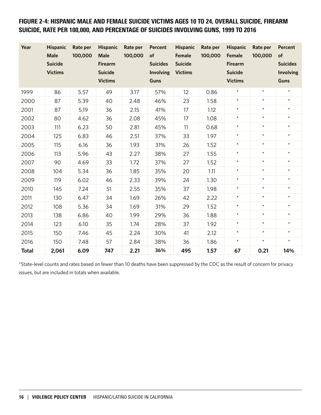## FIGURE 2-4: HISPANIC MALE AND FEMALE SUICIDE VICTIMS AGES 10 TO 24, OVERALL SUICIDE, FIREARM SUICIDE, RATE PER 100,000, AND PERCENTAGE OF SUICIDES INVOLVING GUNS, 1999 TO 2016

| Year         | <b>Hispanic</b><br>Male<br><b>Suicide</b><br><b>Victims</b> | Rate per<br>100,000 | <b>Hispanic</b><br>Male<br><b>Firearm</b><br><b>Suicide</b><br><b>Victims</b> | Rate per<br>100,000 | Percent<br>of<br><b>Suicides</b><br>Involving<br><b>Guns</b> | <b>Hispanic</b><br>Female<br><b>Suicide</b><br><b>Victims</b> | Rate per<br>100,000 | <b>Hispanic</b><br>Female<br><b>Firearm</b><br><b>Suicide</b><br><b>Victims</b> | Rate per<br>100,000 | <b>Percent</b><br>of<br><b>Suicides</b><br>Involving<br><b>Guns</b> |
|--------------|-------------------------------------------------------------|---------------------|-------------------------------------------------------------------------------|---------------------|--------------------------------------------------------------|---------------------------------------------------------------|---------------------|---------------------------------------------------------------------------------|---------------------|---------------------------------------------------------------------|
| 1999         | 86                                                          | 5.57                | 49                                                                            | 3.17                | 57%                                                          | 12                                                            | 0.86                | $\star$                                                                         | $\star$             | $\star$                                                             |
| 2000         | 87                                                          | 5.39                | 40                                                                            | 2.48                | 46%                                                          | 23                                                            | 1.58                | $\star$                                                                         | $\star$             | $\star$                                                             |
| 2001         | 87                                                          | 5.19                | 36                                                                            | 2.15                | 41%                                                          | 17                                                            | 1.12                | $\star$                                                                         | $\star$             | $\star$                                                             |
| 2002         | 80                                                          | 4.62                | 36                                                                            | 2.08                | 45%                                                          | 17                                                            | 1.08                | $\star$                                                                         | $\star$             | $\star$                                                             |
| 2003         | 111                                                         | 6.23                | 50                                                                            | 2.81                | 45%                                                          | 11                                                            | 0.68                | $\star$                                                                         | $\star$             | $\star$                                                             |
| 2004         | 125                                                         | 6.83                | 46                                                                            | 2.51                | 37%                                                          | 33                                                            | 1.97                | $\star$                                                                         | $\star$             | $\star$                                                             |
| 2005         | 115                                                         | 6.16                | 36                                                                            | 1.93                | 31%                                                          | 26                                                            | 1.52                | $\star$                                                                         | $\star$             | $\star$                                                             |
| 2006         | 113                                                         | 5.96                | 43                                                                            | 2.27                | 38%                                                          | 27                                                            | 1.55                | $^{\star}$                                                                      | $\star$             | $\star$                                                             |
| 2007         | 90                                                          | 4.69                | 33                                                                            | 1.72                | 37%                                                          | 27                                                            | 1.52                | $\star$                                                                         | $\star$             | $\star$                                                             |
| 2008         | 104                                                         | 5.34                | 36                                                                            | 1.85                | 35%                                                          | 20                                                            | 1.11                | $\star$                                                                         | $\star$             | $\star$                                                             |
| 2009         | 119                                                         | 6.02                | 46                                                                            | 2.33                | 39%                                                          | 24                                                            | 1.30                | $\star$                                                                         | $\star$             | $\star$                                                             |
| 2010         | 145                                                         | 7.24                | 51                                                                            | 2.55                | 35%                                                          | 37                                                            | 1.98                | $\star$                                                                         | $\star$             | $\star$                                                             |
| 2011         | 130                                                         | 6.47                | 34                                                                            | 1.69                | 26%                                                          | 42                                                            | 2.22                | $\star$                                                                         | $\star$             | $\star$                                                             |
| 2012         | 108                                                         | 5.36                | 34                                                                            | 1.69                | 31%                                                          | 29                                                            | 1.52                | $\star$                                                                         | $\star$             | $\star$                                                             |
| 2013         | 138                                                         | 6.86                | 40                                                                            | 1.99                | 29%                                                          | 36                                                            | 1.88                | $^{\star}$                                                                      | $\star$             | $\star$                                                             |
| 2014         | 123                                                         | 6.10                | 35                                                                            | 1.74                | 28%                                                          | 37                                                            | 1.92                | $\star$                                                                         | $\star$             | $\star$                                                             |
| 2015         | 150                                                         | 7.46                | 45                                                                            | 2.24                | 30%                                                          | 41                                                            | 2.12                | $^{\star}$                                                                      | $\star$             | $\star$                                                             |
| 2016         | 150                                                         | 7.48                | 57                                                                            | 2.84                | 38%                                                          | 36                                                            | 1.86                | $\star$                                                                         | $\star$             | $\star$                                                             |
| <b>Total</b> | 2,061                                                       | 6.09                | 747                                                                           | 2.21                | 36%                                                          | 495                                                           | 1.57                | 67                                                                              | 0.21                | 14%                                                                 |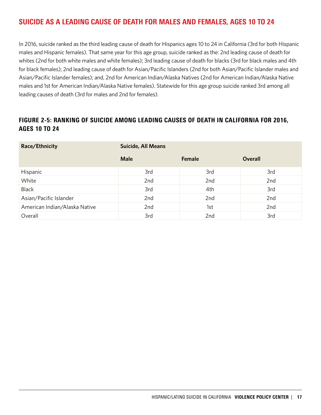# SUICIDE AS A LEADING CAUSE OF DEATH FOR MALES AND FEMALES, AGES 10 TO 24

In 2016, suicide ranked as the third leading cause of death for Hispanics ages 10 to 24 in California (3rd for both Hispanic males and Hispanic females). That same year for this age group, suicide ranked as the: 2nd leading cause of death for whites (2nd for both white males and white females); 3rd leading cause of death for blacks (3rd for black males and 4th for black females); 2nd leading cause of death for Asian/Pacific Islanders (2nd for both Asian/Pacific Islander males and Asian/Pacific Islander females); and, 2nd for American Indian/Alaska Natives (2nd for American Indian/Alaska Native males and 1st for American Indian/Alaska Native females). Statewide for this age group suicide ranked 3rd among all leading causes of death (3rd for males and 2nd for females).

## FIGURE 2-5: RANKING OF SUICIDE AMONG LEADING CAUSES OF DEATH IN CALIFORNIA FOR 2016, AGES 10 TO 24

| Race/Ethnicity                | <b>Suicide, All Means</b> |        |                |  |  |  |  |
|-------------------------------|---------------------------|--------|----------------|--|--|--|--|
|                               | <b>Male</b>               | Female | <b>Overall</b> |  |  |  |  |
| Hispanic                      | 3rd                       | 3rd    | 3rd            |  |  |  |  |
| White                         | 2nd                       | 2nd    | 2nd            |  |  |  |  |
| <b>Black</b>                  | 3rd                       | 4th    | 3rd            |  |  |  |  |
| Asian/Pacific Islander        | 2nd                       | 2nd    | 2nd            |  |  |  |  |
| American Indian/Alaska Native | 2nd                       | 1st    | 2nd            |  |  |  |  |
| Overall                       | 3rd                       | 2nd    | 3rd            |  |  |  |  |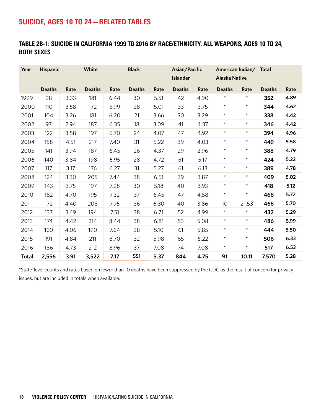# SUICIDE, AGES 10 TO 24—RELATED TABLES

## TABLE 2B-1: SUICIDE IN CALIFORNIA 1999 TO 2016 BY RACE/ETHNICITY, ALL WEAPONS, AGES 10 TO 24, BOTH SEXES

| Year         | <b>Hispanic</b> |      | White         |      | <b>Black</b>  |      | Asian/Pacific<br><b>Islander</b> |      | <b>Alaska Native</b> | American Indian/ Total |               |      |
|--------------|-----------------|------|---------------|------|---------------|------|----------------------------------|------|----------------------|------------------------|---------------|------|
|              | <b>Deaths</b>   | Rate | <b>Deaths</b> | Rate | <b>Deaths</b> | Rate | <b>Deaths</b>                    | Rate | <b>Deaths</b>        | Rate                   | <b>Deaths</b> | Rate |
| 1999         | 98              | 3.33 | 181           | 6.44 | 30            | 5.51 | 42                               | 4.90 | $\star$              | $\star$                | 352           | 4.89 |
| 2000         | 110             | 3.58 | 172           | 5.99 | 28            | 5.01 | 33                               | 3.75 | $\star$              | $\star$                | 344           | 4.62 |
| 2001         | 104             | 3.26 | 181           | 6.20 | 21            | 3.66 | 30                               | 3.29 | $\star$              | $\star$                | 338           | 4.42 |
| 2002         | 97              | 2.94 | 187           | 6.35 | 18            | 3.09 | 41                               | 4.37 | $\star$              | $\star$                | 346           | 4.42 |
| 2003         | 122             | 3.58 | 197           | 6.70 | 24            | 4.07 | 47                               | 4.92 | $\star$              | $\star$                | 394           | 4.96 |
| 2004         | 158             | 4.51 | 217           | 7.40 | 31            | 5.22 | 39                               | 4.03 | $\star$              | $\star$                | 449           | 5.58 |
| 2005         | 141             | 3.94 | 187           | 6.45 | 26            | 4.37 | 29                               | 2.96 | $\star$              | $\star$                | 388           | 4.79 |
| 2006         | 140             | 3.84 | 198           | 6.95 | 28            | 4.72 | 51                               | 5.17 | $\star$              | $\star$                | 424           | 5.22 |
| 2007         | 117             | 3.17 | 176           | 6.27 | 31            | 5.27 | 61                               | 6.13 | $\star$              | $\star$                | 389           | 4.78 |
| 2008         | 124             | 3.30 | 205           | 7.44 | 38            | 6.51 | 39                               | 3.87 | $\star$              | $\star$                | 409           | 5.02 |
| 2009         | 143             | 3.75 | 197           | 7.28 | 30            | 5.18 | 40                               | 3.93 | $\star$              | $\star$                | 418           | 5.12 |
| 2010         | 182             | 4.70 | 195           | 7.32 | 37            | 6.45 | 47                               | 4.58 | $\star$              | $\star$                | 468           | 5.72 |
| 2011         | 172             | 4.40 | 208           | 7.95 | 36            | 6.30 | 40                               | 3.86 | 10                   | 21.53                  | 466           | 5.70 |
| 2012         | 137             | 3.49 | 194           | 7.51 | 38            | 6.71 | 52                               | 4.99 | $\star$              | $\star$                | 432           | 5.29 |
| 2013         | 174             | 4.42 | 214           | 8.44 | 38            | 6.81 | 53                               | 5.08 | $\star$              | $\star$                | 486           | 5.99 |
| 2014         | 160             | 4.06 | 190           | 7.64 | 28            | 5.10 | 61                               | 5.85 | $\star$              | $\star$                | 444           | 5.50 |
| 2015         | 191             | 4.84 | 211           | 8.70 | 32            | 5.98 | 65                               | 6.22 | $\star$              | $\star$                | 506           | 6.33 |
| 2016         | 186             | 4.73 | 212           | 8.96 | 37            | 7.08 | 74                               | 7.08 | $\star$              | $\star$                | 517           | 6.53 |
| <b>Total</b> | 2,556           | 3.91 | 3,522         | 7.17 | 551           | 5.37 | 844                              | 4.75 | 91                   | 10.11                  | 7,570         | 5.28 |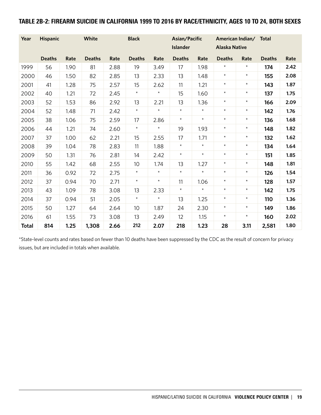## TABLE 2B-2: FIREARM SUICIDE IN CALIFORNIA 1999 TO 2016 BY RACE/ETHNICITY, AGES 10 TO 24, BOTH SEXES

| Year         | <b>Hispanic</b> |      | White         |      | <b>Black</b>  |            | Asian/Pacific<br><b>Islander</b> |            | American Indian/<br><b>Alaska Native</b> |            | <b>Total</b>  |      |
|--------------|-----------------|------|---------------|------|---------------|------------|----------------------------------|------------|------------------------------------------|------------|---------------|------|
|              | <b>Deaths</b>   | Rate | <b>Deaths</b> | Rate | <b>Deaths</b> | Rate       | <b>Deaths</b>                    | Rate       | <b>Deaths</b>                            | Rate       | <b>Deaths</b> | Rate |
| 1999         | 56              | 1.90 | 81            | 2.88 | 19            | 3.49       | 17                               | 1.98       | $\star$                                  | $^{\star}$ | 174           | 2.42 |
| 2000         | 46              | 1.50 | 82            | 2.85 | 13            | 2.33       | 13                               | 1.48       | $\star$                                  | $\star$    | 155           | 2.08 |
| 2001         | 41              | 1.28 | 75            | 2.57 | 15            | 2.62       | 11                               | 1.21       | $\star$                                  | $\star$    | 143           | 1.87 |
| 2002         | 40              | 1.21 | 72            | 2.45 | $\star$       | $^\star$   | 15                               | 1.60       | $\star$                                  | $^{\star}$ | 137           | 1.75 |
| 2003         | 52              | 1.53 | 86            | 2.92 | 13            | 2.21       | 13                               | 1.36       | $\star$                                  | $\star$    | 166           | 2.09 |
| 2004         | 52              | 1.48 | 71            | 2.42 | $\star$       | $\star$    | $\star$                          | $\star$    | $\star$                                  | $\star$    | 142           | 1.76 |
| 2005         | 38              | 1.06 | 75            | 2.59 | 17            | 2.86       | $^{\star}$                       | $^{\star}$ | $\star$                                  | $^{\star}$ | 136           | 1.68 |
| 2006         | 44              | 1.21 | 74            | 2.60 | $\star$       | $\star$    | 19                               | 1.93       | $\star$                                  | $\star$    | 148           | 1.82 |
| 2007         | 37              | 1.00 | 62            | 2.21 | 15            | 2.55       | 17                               | 1.71       | $\star$                                  | $\star$    | 132           | 1.62 |
| 2008         | 39              | 1.04 | 78            | 2.83 | 11            | 1.88       | $\star$                          | $\star$    | $\star$                                  | $^{\star}$ | 134           | 1.64 |
| 2009         | 50              | 1.31 | 76            | 2.81 | 14            | 2.42       | $\star$                          | $\star$    | $\star$                                  | $\star$    | 151           | 1.85 |
| 2010         | 55              | 1.42 | 68            | 2.55 | 10            | 1.74       | 13                               | 1.27       | $\star$                                  | $\star$    | 148           | 1.81 |
| 2011         | 36              | 0.92 | 72            | 2.75 | $\star$       | $\star$    | $\star$                          | $\star$    | $\star$                                  | $\star$    | 126           | 1.54 |
| 2012         | 37              | 0.94 | 70            | 2.71 | $\star$       | $^{\star}$ | 11                               | 1.06       | $\star$                                  | $\star$    | 128           | 1.57 |
| 2013         | 43              | 1.09 | 78            | 3.08 | 13            | 2.33       | $\star$                          | $\star$    | $\star$                                  | $\star$    | 142           | 1.75 |
| 2014         | 37              | 0.94 | 51            | 2.05 | $\star$       | $\star$    | 13                               | 1.25       | $\star$                                  | $\star$    | 110           | 1.36 |
| 2015         | 50              | 1.27 | 64            | 2.64 | 10            | 1.87       | 24                               | 2.30       | $^{\star}$                               | $^{\star}$ | 149           | 1.86 |
| 2016         | 61              | 1.55 | 73            | 3.08 | 13            | 2.49       | 12                               | 1.15       | $\star$                                  | $\star$    | 160           | 2.02 |
| <b>Total</b> | 814             | 1.25 | 1,308         | 2.66 | 212           | 2.07       | 218                              | 1.23       | 28                                       | 3.11       | 2,581         | 1.80 |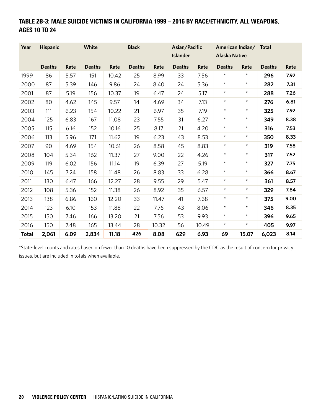# TABLE 2B-3: MALE SUICIDE VICTIMS IN CALIFORNIA 1999 – 2016 BY RACE/ETHNICITY, ALL WEAPONS, AGES 10 TO 24

| Year         | <b>Hispanic</b> |      | White         |       | <b>Black</b>  |       | Asian/Pacific<br><b>Islander</b> |       | <b>Alaska Native</b> | American Indian/ Total |               |      |
|--------------|-----------------|------|---------------|-------|---------------|-------|----------------------------------|-------|----------------------|------------------------|---------------|------|
|              | <b>Deaths</b>   | Rate | <b>Deaths</b> | Rate  | <b>Deaths</b> | Rate  | <b>Deaths</b>                    | Rate  | <b>Deaths</b>        | Rate                   | <b>Deaths</b> | Rate |
| 1999         | 86              | 5.57 | 151           | 10.42 | 25            | 8.99  | 33                               | 7.56  | $\star$              | $^{\star}$             | 296           | 7.92 |
| 2000         | 87              | 5.39 | 146           | 9.86  | 24            | 8.40  | 24                               | 5.36  | $\star$              | $\star$                | 282           | 7.31 |
| 2001         | 87              | 5.19 | 156           | 10.37 | 19            | 6.47  | 24                               | 5.17  | $\star$              | $^{\star}$             | 288           | 7.26 |
| 2002         | 80              | 4.62 | 145           | 9.57  | 14            | 4.69  | 34                               | 7.13  | $\star$              | $\star$                | 276           | 6.81 |
| 2003         | 111             | 6.23 | 154           | 10.22 | 21            | 6.97  | 35                               | 7.19  | $^\star$             | $^{\star}$             | 325           | 7.92 |
| 2004         | 125             | 6.83 | 167           | 11.08 | 23            | 7.55  | 31                               | 6.27  | $\star$              | $^{\star}$             | 349           | 8.38 |
| 2005         | 115             | 6.16 | 152           | 10.16 | 25            | 8.17  | 21                               | 4.20  | $\star$              | $\star$                | 316           | 7.53 |
| 2006         | 113             | 5.96 | 171           | 11.62 | 19            | 6.23  | 43                               | 8.53  | $\star$              | $^{\star}$             | 350           | 8.33 |
| 2007         | 90              | 4.69 | 154           | 10.61 | 26            | 8.58  | 45                               | 8.83  | $\star$              | $^{\star}$             | 319           | 7.58 |
| 2008         | 104             | 5.34 | 162           | 11.37 | 27            | 9.00  | 22                               | 4.26  | $\star$              | $\star$                | 317           | 7.52 |
| 2009         | 119             | 6.02 | 156           | 11.14 | 19            | 6.39  | 27                               | 5.19  | $\star$              | $^{\star}$             | 327           | 7.75 |
| 2010         | 145             | 7.24 | 158           | 11.48 | 26            | 8.83  | 33                               | 6.28  | $\star$              | $^{\star}$             | 366           | 8.67 |
| 2011         | 130             | 6.47 | 166           | 12.27 | 28            | 9.55  | 29                               | 5.47  | $\star$              | $\star$                | 361           | 8.57 |
| 2012         | 108             | 5.36 | 152           | 11.38 | 26            | 8.92  | 35                               | 6.57  | $\star$              | $^{\star}$             | 329           | 7.84 |
| 2013         | 138             | 6.86 | 160           | 12.20 | 33            | 11.47 | 41                               | 7.68  | $\star$              | $\star$                | 375           | 9.00 |
| 2014         | 123             | 6.10 | 153           | 11.88 | 22            | 7.76  | 43                               | 8.06  | $\star$              | $\star$                | 346           | 8.35 |
| 2015         | 150             | 7.46 | 166           | 13.20 | 21            | 7.56  | 53                               | 9.93  | $\star$              | $^{\star}$             | 396           | 9.65 |
| 2016         | 150             | 7.48 | 165           | 13.44 | 28            | 10.32 | 56                               | 10.49 | $\star$              | $^{\star}$             | 405           | 9.97 |
| <b>Total</b> | 2,061           | 6.09 | 2,834         | 11.18 | 426           | 8.08  | 629                              | 6.93  | 69                   | 15.07                  | 6,023         | 8.14 |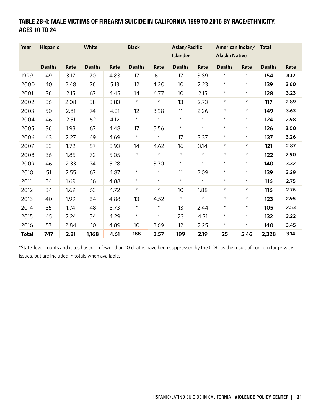# TABLE 2B-4: MALE VICTIMS OF FIREARM SUICIDE IN CALIFORNIA 1999 TO 2016 BY RACE/ETHNICITY, AGES 10 TO 24

| Year         | <b>Hispanic</b> |      | White         |      | <b>Black</b>  |         | Asian/Pacific<br><b>Islander</b> |         | <b>Alaska Native</b> | American Indian/ Total |               |      |
|--------------|-----------------|------|---------------|------|---------------|---------|----------------------------------|---------|----------------------|------------------------|---------------|------|
|              | <b>Deaths</b>   | Rate | <b>Deaths</b> | Rate | <b>Deaths</b> | Rate    | <b>Deaths</b>                    | Rate    | <b>Deaths</b>        | Rate                   | <b>Deaths</b> | Rate |
| 1999         | 49              | 3.17 | 70            | 4.83 | 17            | 6.11    | 17                               | 3.89    | $^\star$             | $\star$                | 154           | 4.12 |
| 2000         | 40              | 2.48 | 76            | 5.13 | 12            | 4.20    | 10                               | 2.23    | $^{\star}$           | $\star$                | 139           | 3.60 |
| 2001         | 36              | 2.15 | 67            | 4.45 | 14            | 4.77    | 10                               | 2.15    | $\star$              | $\star$                | 128           | 3.23 |
| 2002         | 36              | 2.08 | 58            | 3.83 | $\star$       | $\star$ | 13                               | 2.73    | $^{\star}$           | $^{\star}$             | 117           | 2.89 |
| 2003         | 50              | 2.81 | 74            | 4.91 | 12            | 3.98    | 11                               | 2.26    | $^{\star}$           | $\star$                | 149           | 3.63 |
| 2004         | 46              | 2.51 | 62            | 4.12 | $\star$       | $\star$ | $\star$                          | $\star$ | $^{\star}$           | $\star$                | 124           | 2.98 |
| 2005         | 36              | 1.93 | 67            | 4.48 | 17            | 5.56    | $\star$                          | $\star$ | $\star$              | $\star$                | 126           | 3.00 |
| 2006         | 43              | 2.27 | 69            | 4.69 | $\star$       | $\star$ | 17                               | 3.37    | $\star$              | $^\star$               | 137           | 3.26 |
| 2007         | 33              | 1.72 | 57            | 3.93 | 14            | 4.62    | 16                               | 3.14    | $\star$              | $\star$                | 121           | 2.87 |
| 2008         | 36              | 1.85 | 72            | 5.05 | $\star$       | $\star$ | $\star$                          | $\star$ | $\star$              | $\star$                | 122           | 2.90 |
| 2009         | 46              | 2.33 | 74            | 5.28 | 11            | 3.70    | $\star$                          | $\star$ | $^{\star}$           | $^{\star}$             | 140           | 3.32 |
| 2010         | 51              | 2.55 | 67            | 4.87 | $\star$       | $\star$ | 11                               | 2.09    | $\star$              | $\star$                | 139           | 3.29 |
| 2011         | 34              | 1.69 | 66            | 4.88 | $\star$       | $\star$ | $\star$                          | $\star$ | $^{\star}$           | $\star$                | 116           | 2.75 |
| 2012         | 34              | 1.69 | 63            | 4.72 | $\star$       | $\star$ | 10                               | 1.88    | $\star$              | $\star$                | 116           | 2.76 |
| 2013         | 40              | 1.99 | 64            | 4.88 | 13            | 4.52    | $\star$                          | $\star$ | $^{\star}$           | $\star$                | 123           | 2.95 |
| 2014         | 35              | 1.74 | 48            | 3.73 | $\star$       | $\star$ | 13                               | 2.44    | $\star$              | $\star$                | 105           | 2.53 |
| 2015         | 45              | 2.24 | 54            | 4.29 | $\star$       | $\star$ | 23                               | 4.31    | $\star$              | $\star$                | 132           | 3.22 |
| 2016         | 57              | 2.84 | 60            | 4.89 | 10            | 3.69    | 12                               | 2.25    | $\star$              | $\star$                | 140           | 3.45 |
| <b>Total</b> | 747             | 2.21 | 1,168         | 4.61 | 188           | 3.57    | 199                              | 2.19    | 25                   | 5.46                   | 2,328         | 3.14 |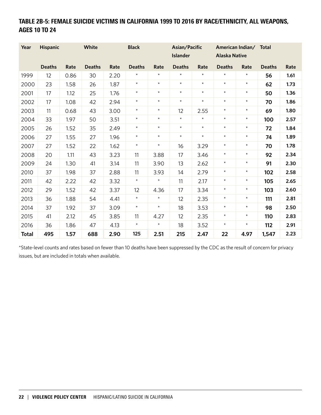# TABLE 2B-5: FEMALE SUICIDE VICTIMS IN CALIFORNIA 1999 TO 2016 BY RACE/ETHNICITY, ALL WEAPONS, AGES 10 TO 24

| Year         | <b>Hispanic</b> |      | White         |      | <b>Black</b>  |            | Asian/Pacific<br><b>Islander</b> |         | <b>Alaska Native</b> | American Indian/ | <b>Total</b>  |      |
|--------------|-----------------|------|---------------|------|---------------|------------|----------------------------------|---------|----------------------|------------------|---------------|------|
|              | <b>Deaths</b>   | Rate | <b>Deaths</b> | Rate | <b>Deaths</b> | Rate       | <b>Deaths</b>                    | Rate    | <b>Deaths</b>        | Rate             | <b>Deaths</b> | Rate |
| 1999         | 12              | 0.86 | 30            | 2.20 | $^\star$      | $^\star$   | $\star$                          | $\star$ | $\star$              | $^\star$         | 56            | 1.61 |
| 2000         | 23              | 1.58 | 26            | 1.87 | $\star$       | $\star$    | $\star$                          | $\star$ | $\star$              | $^{\star}$       | 62            | 1.73 |
| 2001         | 17              | 1.12 | 25            | 1.76 | $\star$       | $\star$    | $\star$                          | $\star$ | $\star$              | $\star$          | 50            | 1.36 |
| 2002         | 17              | 1.08 | 42            | 2.94 | $\star$       | $^{\star}$ | $^{\star}$                       | $\star$ | $\star$              | $^{\star}$       | 70            | 1.86 |
| 2003         | 11              | 0.68 | 43            | 3.00 | $\star$       | $\star$    | 12                               | 2.55    | $\star$              | $^{\star}$       | 69            | 1.80 |
| 2004         | 33              | 1.97 | 50            | 3.51 | $\star$       | $\star$    | $\star$                          | $\star$ | $\star$              | $\star$          | 100           | 2.57 |
| 2005         | 26              | 1.52 | 35            | 2.49 | $\star$       | $^{\star}$ | $\star$                          | $\star$ | $\star$              | $\star$          | 72            | 1.84 |
| 2006         | 27              | 1.55 | 27            | 1.96 | $\star$       | $\star$    | $\star$                          | $\star$ | $\star$              | $^{\star}$       | 74            | 1.89 |
| 2007         | 27              | 1.52 | 22            | 1.62 | $\star$       | $^{\star}$ | 16                               | 3.29    | $\star$              | $\star$          | 70            | 1.78 |
| 2008         | 20              | 1.11 | 43            | 3.23 | 11            | 3.88       | 17                               | 3.46    | $\star$              | $\star$          | 92            | 2.34 |
| 2009         | 24              | 1.30 | 41            | 3.14 | 11            | 3.90       | 13                               | 2.62    | $\star$              | $\star$          | 91            | 2.30 |
| 2010         | 37              | 1.98 | 37            | 2.88 | 11            | 3.93       | 14                               | 2.79    | $\star$              | $\star$          | 102           | 2.58 |
| 2011         | 42              | 2.22 | 42            | 3.32 | $\star$       | $\star$    | 11                               | 2.17    | $\star$              | $\star$          | 105           | 2.65 |
| 2012         | 29              | 1.52 | 42            | 3.37 | 12            | 4.36       | 17                               | 3.34    | $\star$              | $^{\star}$       | 103           | 2.60 |
| 2013         | 36              | 1.88 | 54            | 4.41 | $\star$       | $\star$    | 12                               | 2.35    | $\star$              | $\star$          | 111           | 2.81 |
| 2014         | 37              | 1.92 | 37            | 3.09 | $\star$       | $\star$    | 18                               | 3.53    | $\star$              | $\star$          | 98            | 2.50 |
| 2015         | 41              | 2.12 | 45            | 3.85 | 11            | 4.27       | 12                               | 2.35    | $\star$              | $^{\star}$       | 110           | 2.83 |
| 2016         | 36              | 1.86 | 47            | 4.13 | $\star$       | $\star$    | 18                               | 3.52    | $\star$              | $\star$          | 112           | 2.91 |
| <b>Total</b> | 495             | 1.57 | 688           | 2.90 | 125           | 2.51       | 215                              | 2.47    | 22                   | 4.97             | 1,547         | 2.23 |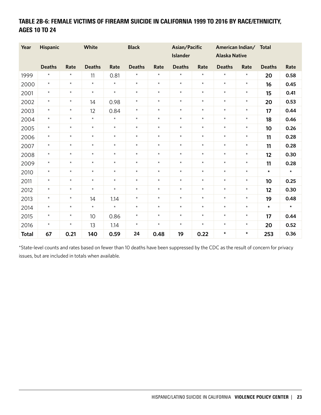# TABLE 2B-6: FEMALE VICTIMS OF FIREARM SUICIDE IN CALIFORNIA 1999 TO 2016 BY RACE/ETHNICITY, AGES 10 TO 24

| Year         | <b>Hispanic</b> |         | White         |         | <b>Black</b>  |         | Asian/Pacific<br><b>Islander</b> |         | <b>Alaska Native</b> | American Indian/ | <b>Total</b>  |         |
|--------------|-----------------|---------|---------------|---------|---------------|---------|----------------------------------|---------|----------------------|------------------|---------------|---------|
|              | <b>Deaths</b>   | Rate    | <b>Deaths</b> | Rate    | <b>Deaths</b> | Rate    | <b>Deaths</b>                    | Rate    | <b>Deaths</b>        | Rate             | <b>Deaths</b> | Rate    |
| 1999         | $^{\star}$      | $\star$ | 11            | 0.81    | $\star$       | $\star$ | $\star$                          | $\star$ | $\star$              | $\star$          | 20            | 0.58    |
| 2000         | $\star$         | $\star$ | $\star$       | $\star$ | $\star$       | $\star$ | $\star$                          | $\star$ | $\star$              | $\star$          | 16            | 0.45    |
| 2001         | $\star$         | $\star$ | $\star$       | $\star$ | $\star$       | $\star$ | $\star$                          | $\star$ | $\star$              | $\star$          | 15            | 0.41    |
| 2002         | $^{\star}$      | $\star$ | 14            | 0.98    | $\star$       | $\star$ | $^{\star}$                       | $\star$ | $\star$              | $\star$          | 20            | 0.53    |
| 2003         | $^{\star}$      | $\star$ | 12            | 0.84    | $\star$       | $\star$ | $\star$                          | $\star$ | $\star$              | $\star$          | 17            | 0.44    |
| 2004         | $^{\star}$      | $\star$ | $\star$       | $\star$ | $\star$       | $\star$ | $\star$                          | $\star$ | $\star$              | $\star$          | 18            | 0.46    |
| 2005         | $\star$         | $\star$ | $\star$       | $\star$ | $\star$       | $\star$ | $^{\star}$                       | $\star$ | $\star$              | $\star$          | 10            | 0.26    |
| 2006         | $^{\star}$      | $\star$ | $\star$       | $\star$ | $\star$       | $\star$ | $\star$                          | $\star$ | $\star$              | $\star$          | 11            | 0.28    |
| 2007         | $\star$         | $\star$ | $\star$       | $\star$ | $\star$       | $\star$ | $\star$                          | $\star$ | $\star$              | $^{\star}$       | 11            | 0.28    |
| 2008         | $\star$         | $\star$ | $\star$       | $\star$ | $\star$       | $\star$ | $\star$                          | $\star$ | $\star$              | $\star$          | 12            | 0.30    |
| 2009         | $\star$         | $\star$ | $\star$       | $\star$ | $\star$       | $\star$ | $\star$                          | $\star$ | $\star$              | $^{\star}$       | 11            | 0.28    |
| 2010         | $\star$         | $\star$ | $\star$       | $\star$ | $\star$       | $\star$ | $\star$                          | $\star$ | $\star$              | $\star$          | $\star$       | $\star$ |
| 2011         | $\star$         | $\star$ | $\star$       | $\star$ | $\star$       | $\star$ | $\star$                          | $\star$ | $\star$              | $\star$          | 10            | 0.25    |
| 2012         | $\star$         | $\star$ | $\star$       | $\star$ | $\star$       | $\star$ | $\star$                          | $\star$ | $\star$              | $^{\star}$       | 12            | 0.30    |
| 2013         | $\star$         | $\star$ | 14            | 1.14    | $\star$       | $\star$ | $\star$                          | $\star$ | $\star$              | $^{\star}$       | 19            | 0.48    |
| 2014         | $\star$         | $\star$ | $\star$       | $\star$ | $\star$       | $\star$ | $\star$                          | $\star$ | $\star$              | $\star$          | $\star$       | $\star$ |
| 2015         | $\star$         | $\star$ | 10            | 0.86    | $\star$       | $\star$ | $\star$                          | $\star$ | $\star$              | $\star$          | 17            | 0.44    |
| 2016         | $\star$         | $\star$ | 13            | 1.14    | $\star$       | $\star$ | $\star$                          | $\star$ | $\star$              | $\star$          | 20            | 0.52    |
| <b>Total</b> | 67              | 0.21    | 140           | 0.59    | 24            | 0.48    | 19                               | 0.22    | $\star$              | $\star$          | 253           | 0.36    |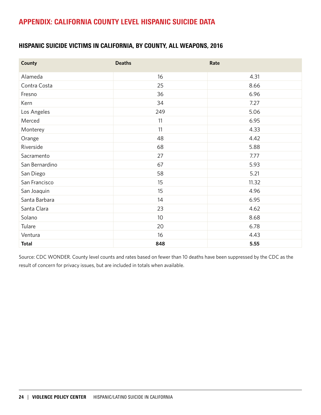# APPENDIX: CALIFORNIA COUNTY LEVEL HISPANIC SUICIDE DATA

### HISPANIC SUICIDE VICTIMS IN CALIFORNIA, BY COUNTY, ALL WEAPONS, 2016

| <b>County</b>  | <b>Deaths</b>   | Rate  |
|----------------|-----------------|-------|
| Alameda        | 16              | 4.31  |
| Contra Costa   | 25              | 8.66  |
| Fresno         | 36              | 6.96  |
| Kern           | 34              | 7.27  |
| Los Angeles    | 249             | 5.06  |
| Merced         | 11              | 6.95  |
| Monterey       | 11              | 4.33  |
| Orange         | 48              | 4.42  |
| Riverside      | 68              | 5.88  |
| Sacramento     | 27              | 7.77  |
| San Bernardino | 67              | 5.93  |
| San Diego      | 58              | 5.21  |
| San Francisco  | 15              | 11.32 |
| San Joaquin    | 15              | 4.96  |
| Santa Barbara  | 14              | 6.95  |
| Santa Clara    | 23              | 4.62  |
| Solano         | 10 <sup>°</sup> | 8.68  |
| Tulare         | 20              | 6.78  |
| Ventura        | 16              | 4.43  |
| <b>Total</b>   | 848             | 5.55  |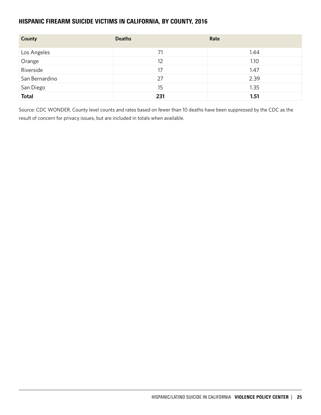### HISPANIC FIREARM SUICIDE VICTIMS IN CALIFORNIA, BY COUNTY, 2016

| County         | <b>Deaths</b> | Rate |
|----------------|---------------|------|
| Los Angeles    | 71            | 1.44 |
| Orange         | 12            | 1.10 |
| Riverside      | 17            | 1.47 |
| San Bernardino | 27            | 2.39 |
| San Diego      | 15            | 1.35 |
| <b>Total</b>   | 231           | 1.51 |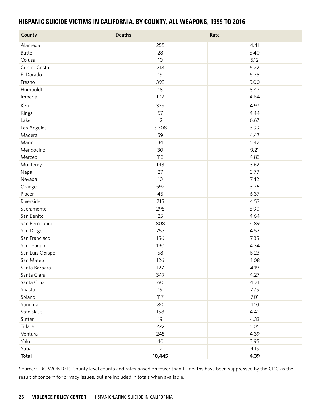#### HISPANIC SUICIDE VICTIMS IN CALIFORNIA, BY COUNTY, ALL WEAPONS, 1999 TO 2016

| <b>County</b>   | <b>Deaths</b> | Rate |
|-----------------|---------------|------|
| Alameda         | 255           | 4.41 |
| <b>Butte</b>    | 28            | 5.40 |
| Colusa          | 10            | 5.12 |
| Contra Costa    | 218           | 5.22 |
| El Dorado       | 19            | 5.35 |
| Fresno          | 393           | 5.00 |
| Humboldt        | 18            | 8.43 |
| Imperial        | 107           | 4.64 |
| Kern            | 329           | 4.97 |
| Kings           | 57            | 4.44 |
| Lake            | 12            | 6.67 |
| Los Angeles     | 3,308         | 3.99 |
| Madera          | 59            | 4.47 |
| Marin           | 34            | 5.42 |
| Mendocino       | 30            | 9.21 |
| Merced          | 113           | 4.83 |
| Monterey        | 143           | 3.62 |
| Napa            | 27            | 3.77 |
| Nevada          | 10            | 7.42 |
| Orange          | 592           | 3.36 |
| Placer          | 45            | 6.37 |
| Riverside       | 715           | 4.53 |
| Sacramento      | 295           | 5.90 |
| San Benito      | 25            | 4.64 |
| San Bernardino  | 808           | 4.89 |
| San Diego       | 757           | 4.52 |
| San Francisco   | 156           | 7.35 |
| San Joaquin     | 190           | 4.34 |
| San Luis Obispo | 58            | 6.23 |
| San Mateo       | 126           | 4.08 |
| Santa Barbara   | 127           | 4.19 |
| Santa Clara     | 347           | 4.27 |
| Santa Cruz      | 60            | 4.21 |
| Shasta          | 19            | 7.75 |
| Solano          | 117           | 7.01 |
| Sonoma          | 80            | 4.10 |
| Stanislaus      | 158           | 4.42 |
| Sutter          | 19            | 4.33 |
| Tulare          | 222           | 5.05 |
| Ventura         | 245           | 4.39 |
| Yolo            | 40            | 3.95 |
| Yuba            | 12            | 4.15 |
| <b>Total</b>    | 10,445        | 4.39 |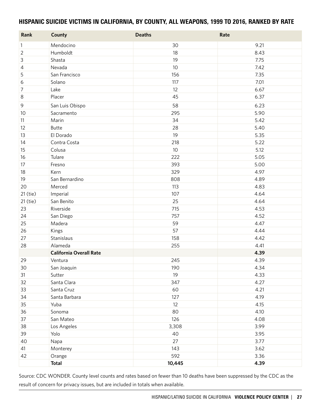#### HISPANIC SUICIDE VICTIMS IN CALIFORNIA, BY COUNTY, ALL WEAPONS, 1999 TO 2016, RANKED BY RATE

| Rank           | <b>County</b>                  | <b>Deaths</b> | Rate |
|----------------|--------------------------------|---------------|------|
| $\mathbf{1}$   | Mendocino                      | 30            | 9.21 |
| $\overline{2}$ | Humboldt                       | 18            | 8.43 |
| 3              | Shasta                         | 19            | 7.75 |
| 4              | Nevada                         | 10            | 7.42 |
| 5              | San Francisco                  | 156           | 7.35 |
| 6              | Solano                         | 117           | 7.01 |
| 7              | Lake                           | 12            | 6.67 |
| 8              | Placer                         | 45            | 6.37 |
| 9              | San Luis Obispo                | 58            | 6.23 |
| 10             | Sacramento                     | 295           | 5.90 |
| 11             | Marin                          | 34            | 5.42 |
| 12             | <b>Butte</b>                   | 28            | 5.40 |
| 13             | El Dorado                      | 19            | 5.35 |
| 14             | Contra Costa                   | 218           | 5.22 |
| 15             | Colusa                         | 10            | 5.12 |
| 16             | Tulare                         | 222           | 5.05 |
| 17             | Fresno                         | 393           | 5.00 |
| 18             | Kern                           | 329           | 4.97 |
| 19             | San Bernardino                 | 808           | 4.89 |
| 20             | Merced                         | 113           | 4.83 |
| 21 (tie)       | Imperial                       | 107           | 4.64 |
| 21 (tie)       | San Benito                     | 25            | 4.64 |
| 23             | Riverside                      | 715           | 4.53 |
| 24             | San Diego                      | 757           | 4.52 |
| 25             | Madera                         | 59            | 4.47 |
| 26             | Kings                          | 57            | 4.44 |
| 27             | Stanislaus                     | 158           | 4.42 |
| 28             | Alameda                        | 255           | 4.41 |
|                | <b>California Overall Rate</b> |               | 4.39 |
| 29             | Ventura                        | 245           | 4.39 |
| 30             | San Joaquin                    | 190           | 4.34 |
| 31             | Sutter                         | 19            | 4.33 |
| 32             | Santa Clara                    | 347           | 4.27 |
| 33             | Santa Cruz                     | 60            | 4.21 |
| 34             | Santa Barbara                  | 127           | 4.19 |
| 35             | Yuba                           | 12            | 4.15 |
| 36             | Sonoma                         | 80            | 4.10 |
| 37             | San Mateo                      | 126           | 4.08 |
| 38             | Los Angeles                    | 3,308         | 3.99 |
| 39             | Yolo                           | 40            | 3.95 |
| 40             | Napa                           | 27            | 3.77 |
| 41             | Monterey                       | 143           | 3.62 |
| 42             | Orange                         | 592           | 3.36 |
|                | <b>Total</b>                   | 10,445        | 4.39 |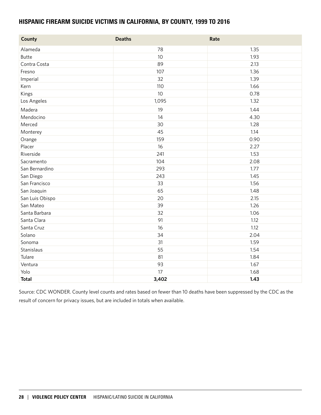#### HISPANIC FIREARM SUICIDE VICTIMS IN CALIFORNIA, BY COUNTY, 1999 TO 2016

| <b>County</b>   | <b>Deaths</b>   | Rate |
|-----------------|-----------------|------|
| Alameda         | 78              | 1.35 |
| <b>Butte</b>    | 10              | 1.93 |
| Contra Costa    | 89              | 2.13 |
| Fresno          | 107             | 1.36 |
| Imperial        | 32              | 1.39 |
| Kern            | 110             | 1.66 |
| Kings           | 10 <sup>°</sup> | 0.78 |
| Los Angeles     | 1,095           | 1.32 |
| Madera          | 19              | 1.44 |
| Mendocino       | 14              | 4.30 |
| Merced          | 30              | 1.28 |
| Monterey        | 45              | 1.14 |
| Orange          | 159             | 0.90 |
| Placer          | 16              | 2.27 |
| Riverside       | 241             | 1.53 |
| Sacramento      | 104             | 2.08 |
| San Bernardino  | 293             | 1.77 |
| San Diego       | 243             | 1.45 |
| San Francisco   | 33              | 1.56 |
| San Joaquin     | 65              | 1.48 |
| San Luis Obispo | 20              | 2.15 |
| San Mateo       | 39              | 1.26 |
| Santa Barbara   | 32              | 1.06 |
| Santa Clara     | 91              | 1.12 |
| Santa Cruz      | 16              | 1.12 |
| Solano          | 34              | 2.04 |
| Sonoma          | 31              | 1.59 |
| Stanislaus      | 55              | 1.54 |
| Tulare          | 81              | 1.84 |
| Ventura         | 93              | 1.67 |
| Yolo            | 17              | 1.68 |
| <b>Total</b>    | 3,402           | 1.43 |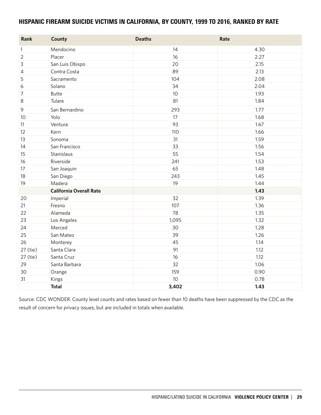#### HISPANIC FIREARM SUICIDE VICTIMS IN CALIFORNIA, BY COUNTY, 1999 TO 2016, RANKED BY RATE

| Rank           | <b>County</b>                  | <b>Deaths</b> | Rate |
|----------------|--------------------------------|---------------|------|
| $\mathbf{1}$   | Mendocino                      | 14            | 4.30 |
| $\overline{2}$ | Placer                         | 16            | 2.27 |
| 3              | San Luis Obispo                | 20            | 2.15 |
| 4              | Contra Costa                   | 89            | 2.13 |
| 5              | Sacramento                     | 104           | 2.08 |
| 6              | Solano                         | 34            | 2.04 |
| 7              | <b>Butte</b>                   | 10            | 1.93 |
| 8              | Tulare                         | 81            | 1.84 |
| 9              | San Bernardino                 | 293           | 1.77 |
| 10             | Yolo                           | 17            | 1.68 |
| 11             | Ventura                        | 93            | 1.67 |
| 12             | Kern                           | 110           | 1.66 |
| 13             | Sonoma                         | 31            | 1.59 |
| 14             | San Francisco                  | 33            | 1.56 |
| 15             | Stanislaus                     | 55            | 1.54 |
| 16             | Riverside                      | 241           | 1.53 |
| 17             | San Joaquin                    | 65            | 1.48 |
| 18             | San Diego                      | 243           | 1.45 |
| 19             | Madera                         | 19            | 1.44 |
|                | <b>California Overall Rate</b> |               | 1.43 |
| 20             | Imperial                       | 32            | 1.39 |
| 21             | Fresno                         | 107           | 1.36 |
| 22             | Alameda                        | 78            | 1.35 |
| 23             | Los Angeles                    | 1,095         | 1.32 |
| 24             | Merced                         | 30            | 1.28 |
| 25             | San Mateo                      | 39            | 1.26 |
| 26             | Monterey                       | 45            | 1.14 |
| 27 (tie)       | Santa Clara                    | 91            | 1.12 |
| 27 (tie)       | Santa Cruz                     | 16            | 1.12 |
| 29             | Santa Barbara                  | 32            | 1.06 |
| 30             | Orange                         | 159           | 0.90 |
| 31             | Kings                          | 10            | 0.78 |
|                | <b>Total</b>                   | 3,402         | 1.43 |